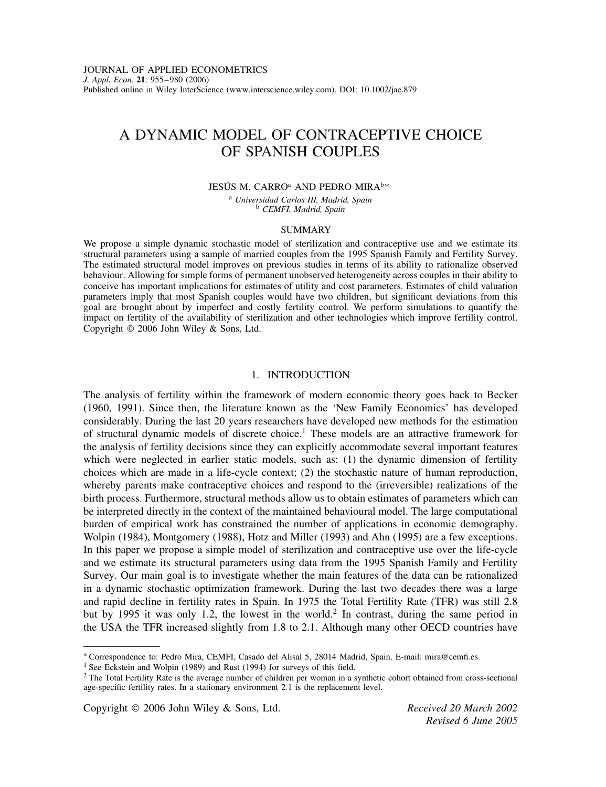# A DYNAMIC MODEL OF CONTRACEPTIVE CHOICE OF SPANISH COUPLES

# JESÚS M. CARRO<sup>a</sup> AND PEDRO MIRA<sup>b\*</sup>

<sup>a</sup> *Universidad Carlos III, Madrid, Spain* <sup>b</sup> *CEMFI, Madrid, Spain*

#### SUMMARY

We propose a simple dynamic stochastic model of sterilization and contraceptive use and we estimate its structural parameters using a sample of married couples from the 1995 Spanish Family and Fertility Survey. The estimated structural model improves on previous studies in terms of its ability to rationalize observed behaviour. Allowing for simple forms of permanent unobserved heterogeneity across couples in their ability to conceive has important implications for estimates of utility and cost parameters. Estimates of child valuation parameters imply that most Spanish couples would have two children, but significant deviations from this goal are brought about by imperfect and costly fertility control. We perform simulations to quantify the impact on fertility of the availability of sterilization and other technologies which improve fertility control. Copyright  $©$  2006 John Wiley & Sons, Ltd.

# 1. INTRODUCTION

The analysis of fertility within the framework of modern economic theory goes back to Becker (1960, 1991). Since then, the literature known as the 'New Family Economics' has developed considerably. During the last 20 years researchers have developed new methods for the estimation of structural dynamic models of discrete choice.<sup>1</sup> These models are an attractive framework for the analysis of fertility decisions since they can explicitly accommodate several important features which were neglected in earlier static models, such as: (1) the dynamic dimension of fertility choices which are made in a life-cycle context; (2) the stochastic nature of human reproduction, whereby parents make contraceptive choices and respond to the (irreversible) realizations of the birth process. Furthermore, structural methods allow us to obtain estimates of parameters which can be interpreted directly in the context of the maintained behavioural model. The large computational burden of empirical work has constrained the number of applications in economic demography. Wolpin (1984), Montgomery (1988), Hotz and Miller (1993) and Ahn (1995) are a few exceptions. In this paper we propose a simple model of sterilization and contraceptive use over the life-cycle and we estimate its structural parameters using data from the 1995 Spanish Family and Fertility Survey. Our main goal is to investigate whether the main features of the data can be rationalized in a dynamic stochastic optimization framework. During the last two decades there was a large and rapid decline in fertility rates in Spain. In 1975 the Total Fertility Rate (TFR) was still 2.8 but by 1995 it was only 1.2, the lowest in the world.<sup>2</sup> In contrast, during the same period in the USA the TFR increased slightly from 1.8 to 2.1. Although many other OECD countries have

Copyright 2006 John Wiley & Sons, Ltd. *Received 20 March 2002*

*Revised 6 June 2005*

<sup>Ł</sup> Correspondence to: Pedro Mira, CEMFI, Casado del Alisal 5, 28014 Madrid, Spain. E-mail: mira@cemfi.es

<sup>&</sup>lt;sup>1</sup> See Eckstein and Wolpin (1989) and Rust (1994) for surveys of this field.

<sup>&</sup>lt;sup>2</sup> The Total Fertility Rate is the average number of children per woman in a synthetic cohort obtained from cross-sectional age-specific fertility rates. In a stationary environment 2.1 is the replacement level.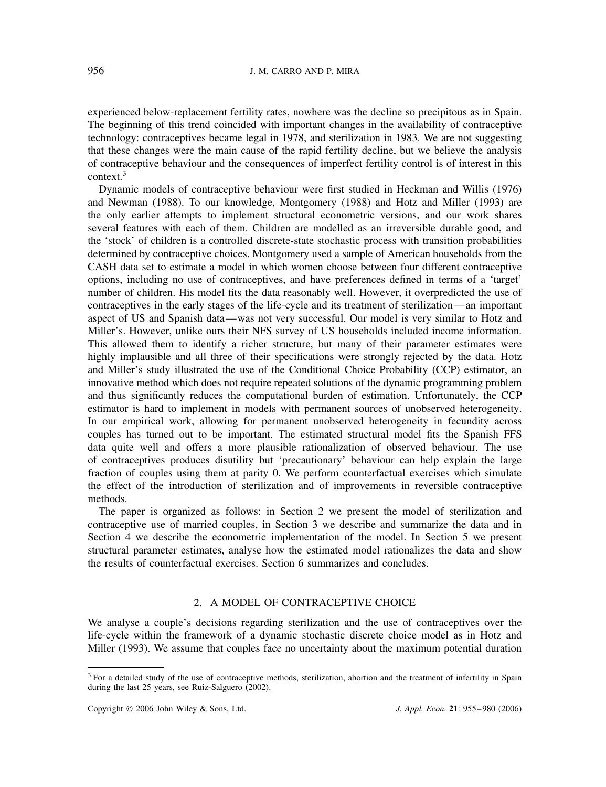experienced below-replacement fertility rates, nowhere was the decline so precipitous as in Spain. The beginning of this trend coincided with important changes in the availability of contraceptive technology: contraceptives became legal in 1978, and sterilization in 1983. We are not suggesting that these changes were the main cause of the rapid fertility decline, but we believe the analysis of contraceptive behaviour and the consequences of imperfect fertility control is of interest in this context $3$ 

Dynamic models of contraceptive behaviour were first studied in Heckman and Willis (1976) and Newman (1988). To our knowledge, Montgomery (1988) and Hotz and Miller (1993) are the only earlier attempts to implement structural econometric versions, and our work shares several features with each of them. Children are modelled as an irreversible durable good, and the 'stock' of children is a controlled discrete-state stochastic process with transition probabilities determined by contraceptive choices. Montgomery used a sample of American households from the CASH data set to estimate a model in which women choose between four different contraceptive options, including no use of contraceptives, and have preferences defined in terms of a 'target' number of children. His model fits the data reasonably well. However, it overpredicted the use of contraceptives in the early stages of the life-cycle and its treatment of sterilization—an important aspect of US and Spanish data—was not very successful. Our model is very similar to Hotz and Miller's. However, unlike ours their NFS survey of US households included income information. This allowed them to identify a richer structure, but many of their parameter estimates were highly implausible and all three of their specifications were strongly rejected by the data. Hotz and Miller's study illustrated the use of the Conditional Choice Probability (CCP) estimator, an innovative method which does not require repeated solutions of the dynamic programming problem and thus significantly reduces the computational burden of estimation. Unfortunately, the CCP estimator is hard to implement in models with permanent sources of unobserved heterogeneity. In our empirical work, allowing for permanent unobserved heterogeneity in fecundity across couples has turned out to be important. The estimated structural model fits the Spanish FFS data quite well and offers a more plausible rationalization of observed behaviour. The use of contraceptives produces disutility but 'precautionary' behaviour can help explain the large fraction of couples using them at parity 0. We perform counterfactual exercises which simulate the effect of the introduction of sterilization and of improvements in reversible contraceptive methods.

The paper is organized as follows: in Section 2 we present the model of sterilization and contraceptive use of married couples, in Section 3 we describe and summarize the data and in Section 4 we describe the econometric implementation of the model. In Section 5 we present structural parameter estimates, analyse how the estimated model rationalizes the data and show the results of counterfactual exercises. Section 6 summarizes and concludes.

## 2. A MODEL OF CONTRACEPTIVE CHOICE

We analyse a couple's decisions regarding sterilization and the use of contraceptives over the life-cycle within the framework of a dynamic stochastic discrete choice model as in Hotz and Miller (1993). We assume that couples face no uncertainty about the maximum potential duration

<sup>&</sup>lt;sup>3</sup> For a detailed study of the use of contraceptive methods, sterilization, abortion and the treatment of infertility in Spain during the last 25 years, see Ruiz-Salguero (2002).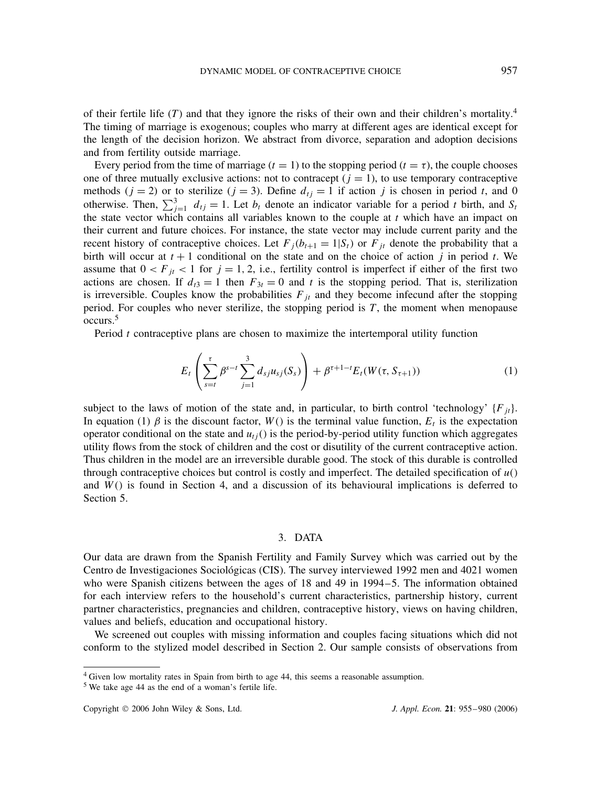of their fertile life  $(T)$  and that they ignore the risks of their own and their children's mortality.<sup>4</sup> The timing of marriage is exogenous; couples who marry at different ages are identical except for the length of the decision horizon. We abstract from divorce, separation and adoption decisions and from fertility outside marriage.

Every period from the time of marriage  $(t = 1)$  to the stopping period  $(t = \tau)$ , the couple chooses one of three mutually exclusive actions: not to contracept  $(j = 1)$ , to use temporary contraceptive methods  $(j = 2)$  or to sterilize  $(j = 3)$ . Define  $d_{tj} = 1$  if action j is chosen in period t, and 0 otherwise. Then,  $\sum_{j=1}^{3} d_{tj} = 1$ . Let  $b_t$  denote an indicator variable for a period t birth, and  $S_t$ the state vector which contains all variables known to the couple at  $t$  which have an impact on their current and future choices. For instance, the state vector may include current parity and the recent history of contraceptive choices. Let  $F_j(b_{t+1} = 1|S_t)$  or  $F_{jt}$  denote the probability that a birth will occur at  $t + 1$  conditional on the state and on the choice of action j in period t. We assume that  $0 < F_{it} < 1$  for  $j = 1, 2$ , i.e., fertility control is imperfect if either of the first two actions are chosen. If  $d_{t3} = 1$  then  $F_{3t} = 0$  and t is the stopping period. That is, sterilization is irreversible. Couples know the probabilities  $F_{jt}$  and they become infecund after the stopping period. For couples who never sterilize, the stopping period is T, the moment when menopause occurs.<sup>5</sup>

Period  $t$  contraceptive plans are chosen to maximize the intertemporal utility function

$$
E_t\left(\sum_{s=t}^{\tau} \beta^{s-t} \sum_{j=1}^{3} d_{sj} u_{sj}(S_s)\right) + \beta^{\tau+1-t} E_t(W(\tau, S_{\tau+1}))
$$
\n(1)

subject to the laws of motion of the state and, in particular, to birth control 'technology'  $\{F_{it}\}$ . In equation (1)  $\beta$  is the discount factor,  $W()$  is the terminal value function,  $E_t$  is the expectation operator conditional on the state and  $u_{tj}$ () is the period-by-period utility function which aggregates utility flows from the stock of children and the cost or disutility of the current contraceptive action. Thus children in the model are an irreversible durable good. The stock of this durable is controlled through contraceptive choices but control is costly and imperfect. The detailed specification of  $u()$ and  $W()$  is found in Section 4, and a discussion of its behavioural implications is deferred to Section 5.

#### 3. DATA

Our data are drawn from the Spanish Fertility and Family Survey which was carried out by the Centro de Investigaciones Sociologicas (CIS). The survey interviewed 1992 men and 4021 women ´ who were Spanish citizens between the ages of 18 and 49 in 1994–5. The information obtained for each interview refers to the household's current characteristics, partnership history, current partner characteristics, pregnancies and children, contraceptive history, views on having children, values and beliefs, education and occupational history.

We screened out couples with missing information and couples facing situations which did not conform to the stylized model described in Section 2. Our sample consists of observations from

<sup>&</sup>lt;sup>4</sup> Given low mortality rates in Spain from birth to age 44, this seems a reasonable assumption.

<sup>5</sup> We take age 44 as the end of a woman's fertile life.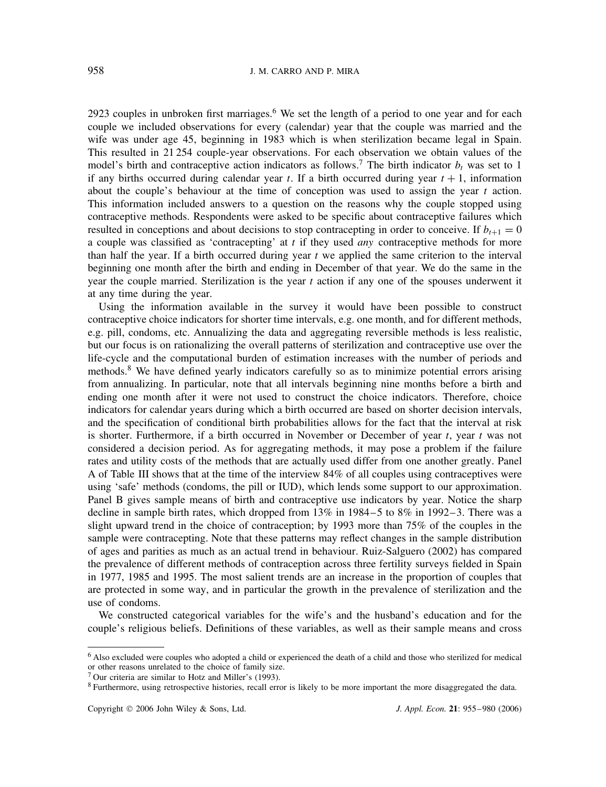2923 couples in unbroken first marriages. $6\text{ We set the length of a period to one year and for each }$ couple we included observations for every (calendar) year that the couple was married and the wife was under age 45, beginning in 1983 which is when sterilization became legal in Spain. This resulted in 21 254 couple-year observations. For each observation we obtain values of the model's birth and contraceptive action indicators as follows.<sup>7</sup> The birth indicator  $b_t$  was set to 1 if any births occurred during calendar year t. If a birth occurred during year  $t + 1$ , information about the couple's behaviour at the time of conception was used to assign the year  $t$  action. This information included answers to a question on the reasons why the couple stopped using contraceptive methods. Respondents were asked to be specific about contraceptive failures which resulted in conceptions and about decisions to stop contracepting in order to conceive. If  $b_{t+1} = 0$ a couple was classified as 'contracepting' at t if they used *any* contraceptive methods for more than half the year. If a birth occurred during year  $t$  we applied the same criterion to the interval beginning one month after the birth and ending in December of that year. We do the same in the year the couple married. Sterilization is the year  $t$  action if any one of the spouses underwent it at any time during the year.

Using the information available in the survey it would have been possible to construct contraceptive choice indicators for shorter time intervals, e.g. one month, and for different methods, e.g. pill, condoms, etc. Annualizing the data and aggregating reversible methods is less realistic, but our focus is on rationalizing the overall patterns of sterilization and contraceptive use over the life-cycle and the computational burden of estimation increases with the number of periods and methods.<sup>8</sup> We have defined yearly indicators carefully so as to minimize potential errors arising from annualizing. In particular, note that all intervals beginning nine months before a birth and ending one month after it were not used to construct the choice indicators. Therefore, choice indicators for calendar years during which a birth occurred are based on shorter decision intervals, and the specification of conditional birth probabilities allows for the fact that the interval at risk is shorter. Furthermore, if a birth occurred in November or December of year  $t$ , year  $t$  was not considered a decision period. As for aggregating methods, it may pose a problem if the failure rates and utility costs of the methods that are actually used differ from one another greatly. Panel A of Table III shows that at the time of the interview 84% of all couples using contraceptives were using 'safe' methods (condoms, the pill or IUD), which lends some support to our approximation. Panel B gives sample means of birth and contraceptive use indicators by year. Notice the sharp decline in sample birth rates, which dropped from 13% in 1984–5 to 8% in 1992–3. There was a slight upward trend in the choice of contraception; by 1993 more than 75% of the couples in the sample were contracepting. Note that these patterns may reflect changes in the sample distribution of ages and parities as much as an actual trend in behaviour. Ruiz-Salguero (2002) has compared the prevalence of different methods of contraception across three fertility surveys fielded in Spain in 1977, 1985 and 1995. The most salient trends are an increase in the proportion of couples that are protected in some way, and in particular the growth in the prevalence of sterilization and the use of condoms.

We constructed categorical variables for the wife's and the husband's education and for the couple's religious beliefs. Definitions of these variables, as well as their sample means and cross

<sup>6</sup> Also excluded were couples who adopted a child or experienced the death of a child and those who sterilized for medical or other reasons unrelated to the choice of family size.

 $<sup>7</sup>$  Our criteria are similar to Hotz and Miller's (1993).</sup>

<sup>8</sup> Furthermore, using retrospective histories, recall error is likely to be more important the more disaggregated the data.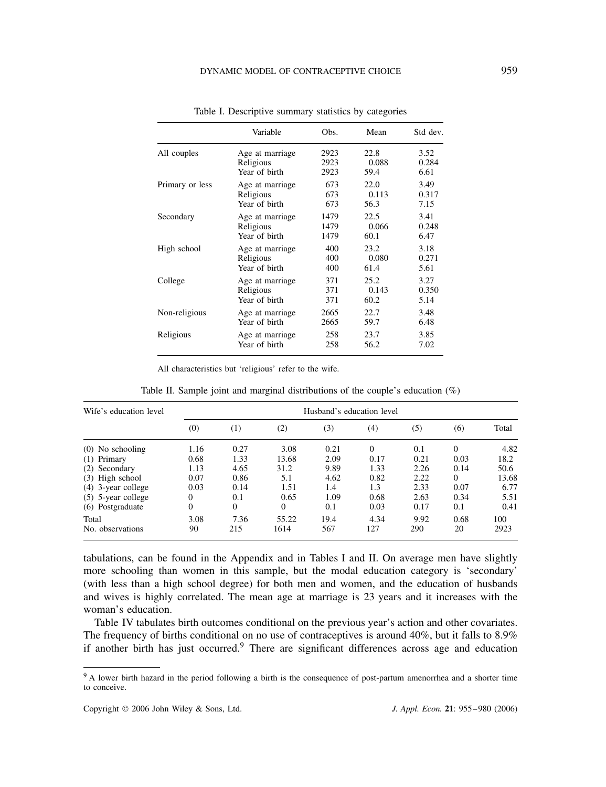|                 | Variable        | Obs. | Mean  | Std dev. |
|-----------------|-----------------|------|-------|----------|
| All couples     | Age at marriage | 2923 | 22.8  | 3.52     |
|                 | Religious       | 2923 | 0.088 | 0.284    |
|                 | Year of birth   | 2923 | 59.4  | 6.61     |
| Primary or less | Age at marriage | 673  | 22.0  | 3.49     |
|                 | Religious       | 673  | 0.113 | 0.317    |
|                 | Year of birth   | 673  | 56.3  | 7.15     |
| Secondary       | Age at marriage | 1479 | 22.5  | 3.41     |
|                 | Religious       | 1479 | 0.066 | 0.248    |
|                 | Year of birth   | 1479 | 60.1  | 6.47     |
| High school     | Age at marriage | 400  | 23.2  | 3.18     |
|                 | Religious       | 400  | 0.080 | 0.271    |
|                 | Year of birth   | 400  | 61.4  | 5.61     |
| College         | Age at marriage | 371  | 25.2  | 3.27     |
|                 | Religious       | 371  | 0.143 | 0.350    |
|                 | Year of birth   | 371  | 60.2  | 5.14     |
| Non-religious   | Age at marriage | 2665 | 22.7  | 3.48     |
|                 | Year of birth   | 2665 | 59.7  | 6.48     |
| Religious       | Age at marriage | 258  | 23.7  | 3.85     |
|                 | Year of birth   | 258  | 56.2  | 7.02     |

Table I. Descriptive summary statistics by categories

All characteristics but 'religious' refer to the wife.

| Wife's education level |              |          |              | Husband's education level |          |      |          |       |
|------------------------|--------------|----------|--------------|---------------------------|----------|------|----------|-------|
|                        | (0)          | $^{(1)}$ | (2)          | (3)                       | (4)      | (5)  | (6)      | Total |
| $(0)$ No schooling     | 1.16         | 0.27     | 3.08         | 0.21                      | $\Omega$ | 0.1  | $\Omega$ | 4.82  |
| $(1)$ Primary          | 0.68         | 1.33     | 13.68        | 2.09                      | 0.17     | 0.21 | 0.03     | 18.2  |
| (2) Secondary          | 1.13         | 4.65     | 31.2         | 9.89                      | 1.33     | 2.26 | 0.14     | 50.6  |
| $(3)$ High school      | 0.07         | 0.86     | 5.1          | 4.62                      | 0.82     | 2.22 | $\left($ | 13.68 |
| $(4)$ 3-year college   | 0.03         | 0.14     | 1.51         | 1.4                       | 1.3      | 2.33 | 0.07     | 6.77  |
| $(5)$ 5-year college   | 0            | 0.1      | 0.65         | 1.09                      | 0.68     | 2.63 | 0.34     | 5.51  |
| (6) Postgraduate       | $\mathbf{0}$ | $\Omega$ | $\mathbf{0}$ | 0.1                       | 0.03     | 0.17 | 0.1      | 0.41  |
| Total                  | 3.08         | 7.36     | 55.22        | 19.4                      | 4.34     | 9.92 | 0.68     | 100   |
| No. observations       | 90           | 215      | 1614         | 567                       | 127      | 290  | 20       | 2923  |

Table II. Sample joint and marginal distributions of the couple's education  $(\%)$ 

tabulations, can be found in the Appendix and in Tables I and II. On average men have slightly more schooling than women in this sample, but the modal education category is 'secondary' (with less than a high school degree) for both men and women, and the education of husbands and wives is highly correlated. The mean age at marriage is 23 years and it increases with the woman's education.

Table IV tabulates birth outcomes conditional on the previous year's action and other covariates. The frequency of births conditional on no use of contraceptives is around 40%, but it falls to 8.9% if another birth has just occurred.<sup>9</sup> There are significant differences across age and education

<sup>&</sup>lt;sup>9</sup> A lower birth hazard in the period following a birth is the consequence of post-partum amenorrhea and a shorter time to conceive.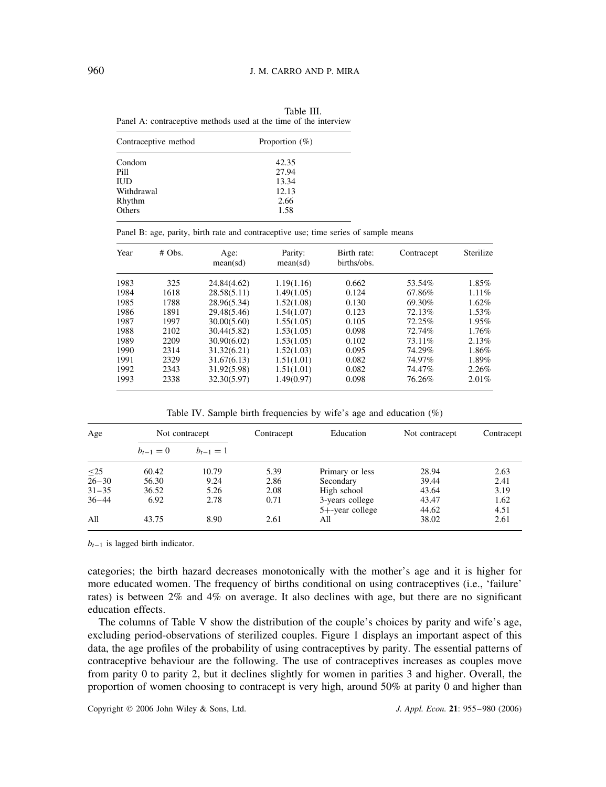# 960 J. M. CARRO AND P. MIRA

| Table III.                                                       |
|------------------------------------------------------------------|
| Panel A: contraceptive methods used at the time of the interview |

| Contraceptive method | Proportion $(\%)$ |  |  |
|----------------------|-------------------|--|--|
| Condom               | 42.35             |  |  |
| Pill                 | 27.94             |  |  |
| <b>IUD</b>           | 13.34             |  |  |
| Withdrawal           | 12.13             |  |  |
| Rhythm               | 2.66              |  |  |
| Others               | 1.58              |  |  |

Panel B: age, parity, birth rate and contraceptive use; time series of sample means

| Year | $# \, Obs.$ | Age:<br>mean(sd) | Parity:<br>mean(sd) | Birth rate:<br>births/obs. | Contracept | Sterilize |
|------|-------------|------------------|---------------------|----------------------------|------------|-----------|
| 1983 | 325         | 24.84(4.62)      | 1.19(1.16)          | 0.662                      | 53.54%     | 1.85%     |
| 1984 | 1618        | 28.58(5.11)      | 1.49(1.05)          | 0.124                      | 67.86%     | 1.11%     |
| 1985 | 1788        | 28.96(5.34)      | 1.52(1.08)          | 0.130                      | 69.30%     | 1.62%     |
| 1986 | 1891        | 29.48(5.46)      | 1.54(1.07)          | 0.123                      | 72.13%     | 1.53%     |
| 1987 | 1997        | 30.00(5.60)      | 1.55(1.05)          | 0.105                      | 72.25%     | 1.95%     |
| 1988 | 2102        | 30.44(5.82)      | 1.53(1.05)          | 0.098                      | 72.74%     | 1.76%     |
| 1989 | 2209        | 30.90(6.02)      | 1.53(1.05)          | 0.102                      | 73.11%     | 2.13%     |
| 1990 | 2314        | 31.32(6.21)      | 1.52(1.03)          | 0.095                      | 74.29%     | 1.86%     |
| 1991 | 2329        | 31.67(6.13)      | 1.51(1.01)          | 0.082                      | 74.97%     | 1.89%     |
| 1992 | 2343        | 31.92(5.98)      | 1.51(1.01)          | 0.082                      | 74.47%     | 2.26%     |
| 1993 | 2338        | 32.30(5.97)      | 1.49(0.97)          | 0.098                      | 76.26%     | $2.01\%$  |

Table IV. Sample birth frequencies by wife's age and education (%)

| Age       | Not contracept |               | Contracept | Education           | Not contracept | Contracept |  |
|-----------|----------------|---------------|------------|---------------------|----------------|------------|--|
|           | $b_{t-1}=0$    | $b_{t-1} = 1$ |            |                     |                |            |  |
| $\leq$ 25 | 60.42          | 10.79         | 5.39       | Primary or less     | 28.94          | 2.63       |  |
| $26 - 30$ | 56.30          | 9.24          | 2.86       | Secondary           | 39.44          | 2.41       |  |
| $31 - 35$ | 36.52          | 5.26          | 2.08       | High school         | 43.64          | 3.19       |  |
| $36 - 44$ | 6.92           | 2.78          | 0.71       | 3-years college     | 43.47          | 1.62       |  |
|           |                |               |            | $5 +$ -year college | 44.62          | 4.51       |  |
| All       | 43.75          | 8.90          | 2.61       | All                 | 38.02          | 2.61       |  |

 $b_{t-1}$  is lagged birth indicator.

categories; the birth hazard decreases monotonically with the mother's age and it is higher for more educated women. The frequency of births conditional on using contraceptives (i.e., 'failure' rates) is between 2% and 4% on average. It also declines with age, but there are no significant education effects.

The columns of Table V show the distribution of the couple's choices by parity and wife's age, excluding period-observations of sterilized couples. Figure 1 displays an important aspect of this data, the age profiles of the probability of using contraceptives by parity. The essential patterns of contraceptive behaviour are the following. The use of contraceptives increases as couples move from parity 0 to parity 2, but it declines slightly for women in parities 3 and higher. Overall, the proportion of women choosing to contracept is very high, around 50% at parity 0 and higher than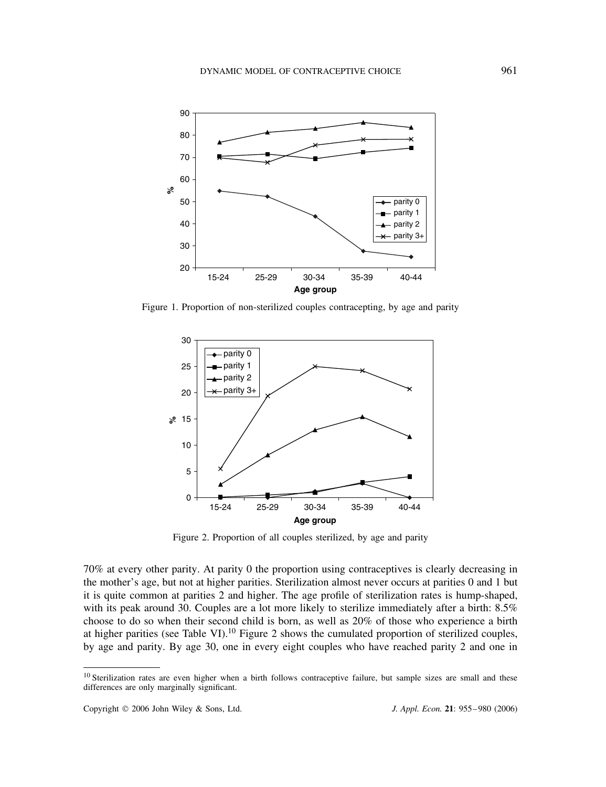

Figure 1. Proportion of non-sterilized couples contracepting, by age and parity



Figure 2. Proportion of all couples sterilized, by age and parity

70% at every other parity. At parity 0 the proportion using contraceptives is clearly decreasing in the mother's age, but not at higher parities. Sterilization almost never occurs at parities 0 and 1 but it is quite common at parities 2 and higher. The age profile of sterilization rates is hump-shaped, with its peak around 30. Couples are a lot more likely to sterilize immediately after a birth:  $8.5\%$ choose to do so when their second child is born, as well as 20% of those who experience a birth at higher parities (see Table VI).<sup>10</sup> Figure 2 shows the cumulated proportion of sterilized couples, by age and parity. By age 30, one in every eight couples who have reached parity 2 and one in

<sup>&</sup>lt;sup>10</sup> Sterilization rates are even higher when a birth follows contraceptive failure, but sample sizes are small and these differences are only marginally significant.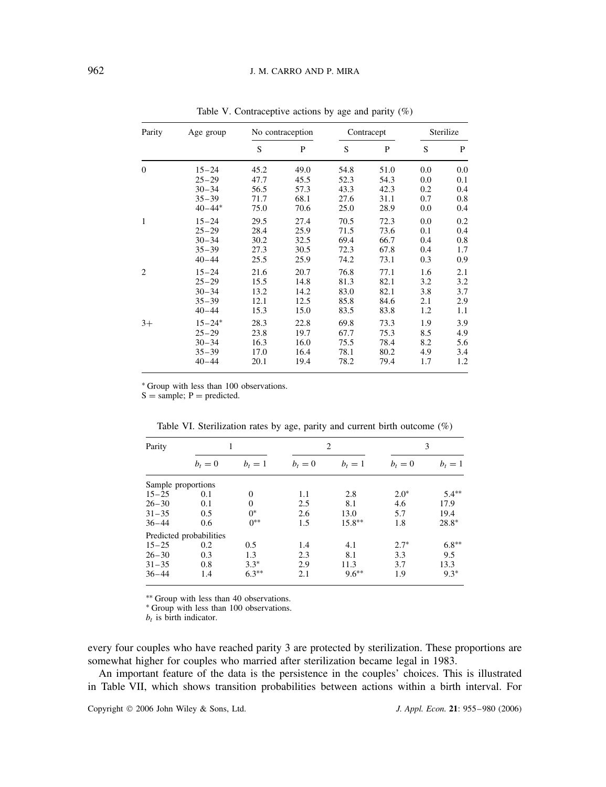| Parity         | Age group  |      | No contraception |      | Contracept |     | Sterilize |  |
|----------------|------------|------|------------------|------|------------|-----|-----------|--|
|                |            | S    | P                | S    | P          | S   | P         |  |
| $\mathbf{0}$   | $15 - 24$  | 45.2 | 49.0             | 54.8 | 51.0       | 0.0 | 0.0       |  |
|                | $25 - 29$  | 47.7 | 45.5             | 52.3 | 54.3       | 0.0 | 0.1       |  |
|                | $30 - 34$  | 56.5 | 57.3             | 43.3 | 42.3       | 0.2 | 0.4       |  |
|                | $35 - 39$  | 71.7 | 68.1             | 27.6 | 31.1       | 0.7 | 0.8       |  |
|                | $40 - 44*$ | 75.0 | 70.6             | 25.0 | 28.9       | 0.0 | 0.4       |  |
| 1              | $15 - 24$  | 29.5 | 27.4             | 70.5 | 72.3       | 0.0 | 0.2       |  |
|                | $25 - 29$  | 28.4 | 25.9             | 71.5 | 73.6       | 0.1 | 0.4       |  |
|                | $30 - 34$  | 30.2 | 32.5             | 69.4 | 66.7       | 0.4 | 0.8       |  |
|                | $35 - 39$  | 27.3 | 30.5             | 72.3 | 67.8       | 0.4 | 1.7       |  |
|                | $40 - 44$  | 25.5 | 25.9             | 74.2 | 73.1       | 0.3 | 0.9       |  |
| $\overline{2}$ | $15 - 24$  | 21.6 | 20.7             | 76.8 | 77.1       | 1.6 | 2.1       |  |
|                | $25 - 29$  | 15.5 | 14.8             | 81.3 | 82.1       | 3.2 | 3.2       |  |
|                | $30 - 34$  | 13.2 | 14.2             | 83.0 | 82.1       | 3.8 | 3.7       |  |
|                | $35 - 39$  | 12.1 | 12.5             | 85.8 | 84.6       | 2.1 | 2.9       |  |
|                | $40 - 44$  | 15.3 | 15.0             | 83.5 | 83.8       | 1.2 | 1.1       |  |
| $3+$           | $15 - 24*$ | 28.3 | 22.8             | 69.8 | 73.3       | 1.9 | 3.9       |  |
|                | $25 - 29$  | 23.8 | 19.7             | 67.7 | 75.3       | 8.5 | 4.9       |  |
|                | $30 - 34$  | 16.3 | 16.0             | 75.5 | 78.4       | 8.2 | 5.6       |  |
|                | $35 - 39$  | 17.0 | 16.4             | 78.1 | 80.2       | 4.9 | 3.4       |  |
|                | $40 - 44$  | 20.1 | 19.4             | 78.2 | 79.4       | 1.7 | 1.2       |  |

Table V. Contraceptive actions by age and parity  $(\%)$ 

<sup>Ł</sup> Group with less than 100 observations.

 $S =$ sample; P = predicted.

| Parity             |                         | 1         | $\overline{2}$ |           | 3       |           |
|--------------------|-------------------------|-----------|----------------|-----------|---------|-----------|
|                    | $b_t=0$                 | $b_t = 1$ | $b_t=0$        | $b_t = 1$ | $b_t=0$ | $b_t = 1$ |
| Sample proportions |                         |           |                |           |         |           |
| $15 - 25$          | 0.1                     | $\Omega$  | 1.1            | 2.8       | $2.0*$  | $5.4***$  |
| $26 - 30$          | 0.1                     | $\Omega$  | 2.5            | 8.1       | 4.6     | 17.9      |
| $31 - 35$          | 0.5                     | $0^*$     | 2.6            | 13.0      | 5.7     | 19.4      |
| $36 - 44$          | 0.6                     | $0**$     | 1.5            | $15.8**$  | 1.8     | $28.8*$   |
|                    | Predicted probabilities |           |                |           |         |           |
| $15 - 25$          | 0.2                     | 0.5       | 1.4            | 4.1       | $2.7*$  | $6.8**$   |
| $26 - 30$          | 0.3                     | 1.3       | 2.3            | 8.1       | 3.3     | 9.5       |
| $31 - 35$          | 0.8                     | $3.3*$    | 2.9            | 11.3      | 3.7     | 13.3      |
| $36 - 44$          | 1.4                     | $6.3**$   | 2.1            | $9.6***$  | 1.9     | $9.3*$    |

Table VI. Sterilization rates by age, parity and current birth outcome (%)

 $*$  Group with less than 40 observations.  $*$  Group with less than 100 observations.

 $b_t$  is birth indicator.

every four couples who have reached parity 3 are protected by sterilization. These proportions are somewhat higher for couples who married after sterilization became legal in 1983.

An important feature of the data is the persistence in the couples' choices. This is illustrated in Table VII, which shows transition probabilities between actions within a birth interval. For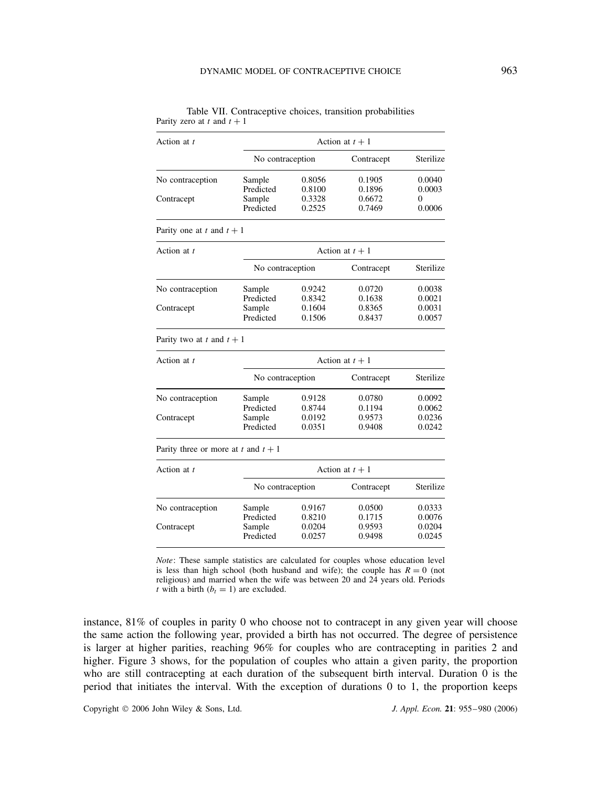| Action at $t$                         |                  |                  | Action at $t + 1$ |           |
|---------------------------------------|------------------|------------------|-------------------|-----------|
|                                       | No contraception |                  | Contracept        | Sterilize |
| No contraception                      | Sample           | 0.8056           | 0.1905            | 0.0040    |
|                                       | Predicted        | 0.8100           | 0.1896            | 0.0003    |
| Contracept                            | Sample           | 0.3328           | 0.6672            | 0         |
|                                       | Predicted        | 0.2525           | 0.7469            | 0.0006    |
| Parity one at t and $t + 1$           |                  |                  |                   |           |
| Action at t                           |                  |                  | Action at $t + 1$ |           |
|                                       |                  | No contraception |                   | Sterilize |
| No contraception                      | Sample           | 0.9242           | 0.0720            | 0.0038    |
|                                       | Predicted        | 0.8342           | 0.1638            | 0.0021    |
| Contracept                            | Sample           | 0.1604           | 0.8365            | 0.0031    |
|                                       | Predicted        | 0.1506           | 0.8437            | 0.0057    |
| Parity two at t and $t + 1$           |                  |                  |                   |           |
| Action at t                           |                  |                  | Action at $t + 1$ |           |
|                                       | No contraception |                  | Contracept        | Sterilize |
| No contraception                      | Sample           | 0.9128           | 0.0780            | 0.0092    |
|                                       | Predicted        | 0.8744           | 0.1194            | 0.0062    |
| Contracept                            | Sample           | 0.0192           | 0.9573            | 0.0236    |
|                                       | Predicted        | 0.0351           | 0.9408            | 0.0242    |
| Parity three or more at t and $t + 1$ |                  |                  |                   |           |
| Action at t                           |                  |                  | Action at $t + 1$ |           |
|                                       | No contraception |                  | Contracept        | Sterilize |

Table VII. Contraceptive choices, transition probabilities Parity zero at t and  $t + 1$ 

No contraception Sample 0.9167 0.0500 0.0333<br>Predicted 0.8210 0.1715 0.0076 Predicted 0.8210 0.1715 0.0076<br>Sample 0.0204 0.9593 0.0204 Contracept Sample 0.0204 0.9593 0.0204<br>Predicted 0.0257 0.9498 0.0245 Predicted *Note*: These sample statistics are calculated for couples whose education level

is less than high school (both husband and wife); the couple has  $R = 0$  (not religious) and married when the wife was between 20 and 24 years old. Periods t with a birth  $(b_t = 1)$  are excluded.

instance, 81% of couples in parity 0 who choose not to contracept in any given year will choose the same action the following year, provided a birth has not occurred. The degree of persistence is larger at higher parities, reaching 96% for couples who are contracepting in parities 2 and higher. Figure 3 shows, for the population of couples who attain a given parity, the proportion who are still contracepting at each duration of the subsequent birth interval. Duration 0 is the period that initiates the interval. With the exception of durations 0 to 1, the proportion keeps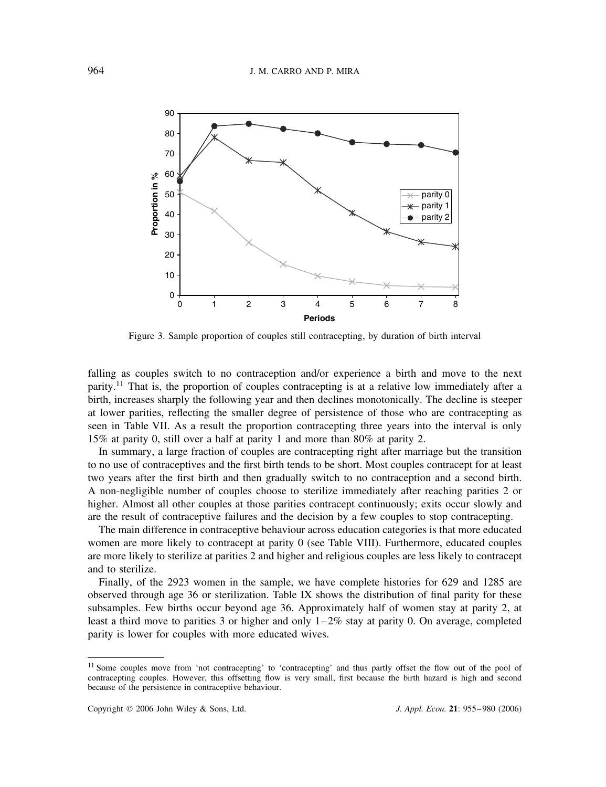

Figure 3. Sample proportion of couples still contracepting, by duration of birth interval

falling as couples switch to no contraception and/or experience a birth and move to the next parity.<sup>11</sup> That is, the proportion of couples contracepting is at a relative low immediately after a birth, increases sharply the following year and then declines monotonically. The decline is steeper at lower parities, reflecting the smaller degree of persistence of those who are contracepting as seen in Table VII. As a result the proportion contracepting three years into the interval is only 15% at parity 0, still over a half at parity 1 and more than 80% at parity 2.

In summary, a large fraction of couples are contracepting right after marriage but the transition to no use of contraceptives and the first birth tends to be short. Most couples contracept for at least two years after the first birth and then gradually switch to no contraception and a second birth. A non-negligible number of couples choose to sterilize immediately after reaching parities 2 or higher. Almost all other couples at those parities contracept continuously; exits occur slowly and are the result of contraceptive failures and the decision by a few couples to stop contracepting.

The main difference in contraceptive behaviour across education categories is that more educated women are more likely to contracept at parity 0 (see Table VIII). Furthermore, educated couples are more likely to sterilize at parities 2 and higher and religious couples are less likely to contracept and to sterilize.

Finally, of the 2923 women in the sample, we have complete histories for 629 and 1285 are observed through age 36 or sterilization. Table IX shows the distribution of final parity for these subsamples. Few births occur beyond age 36. Approximately half of women stay at parity 2, at least a third move to parities 3 or higher and only  $1-2\%$  stay at parity 0. On average, completed parity is lower for couples with more educated wives.

<sup>&</sup>lt;sup>11</sup> Some couples move from 'not contracepting' to 'contracepting' and thus partly offset the flow out of the pool of contracepting couples. However, this offsetting flow is very small, first because the birth hazard is high and second because of the persistence in contraceptive behaviour.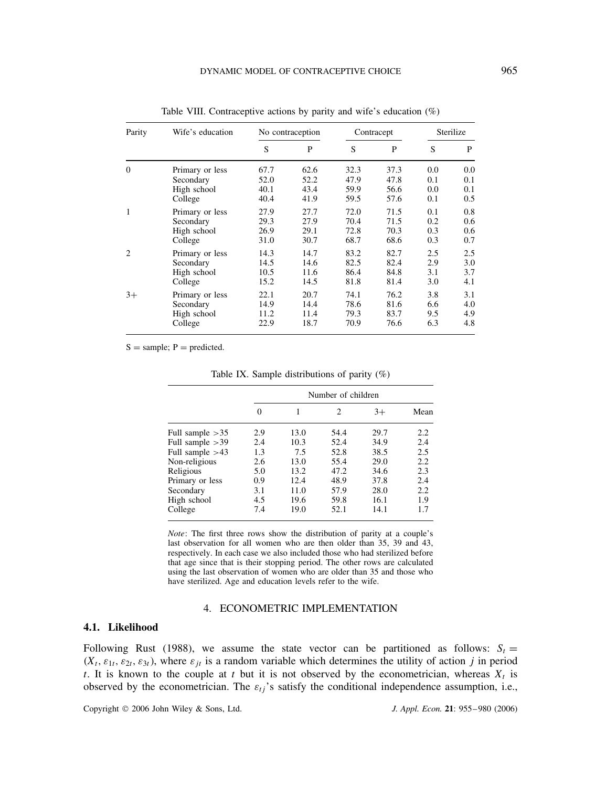| Parity         | Wife's education |      | No contraception | Contracept |      | Sterilize |     |
|----------------|------------------|------|------------------|------------|------|-----------|-----|
|                |                  | S    | P                | S          | P    | S         | P   |
| $\Omega$       | Primary or less  | 67.7 | 62.6             | 32.3       | 37.3 | 0.0       | 0.0 |
|                | Secondary        | 52.0 | 52.2             | 47.9       | 47.8 | 0.1       | 0.1 |
|                | High school      | 40.1 | 43.4             | 59.9       | 56.6 | 0.0       | 0.1 |
|                | College          | 40.4 | 41.9             | 59.5       | 57.6 | 0.1       | 0.5 |
| 1              | Primary or less  | 27.9 | 27.7             | 72.0       | 71.5 | 0.1       | 0.8 |
|                | Secondary        | 29.3 | 27.9             | 70.4       | 71.5 | 0.2       | 0.6 |
|                | High school      | 26.9 | 29.1             | 72.8       | 70.3 | 0.3       | 0.6 |
|                | College          | 31.0 | 30.7             | 68.7       | 68.6 | 0.3       | 0.7 |
| $\overline{2}$ | Primary or less  | 14.3 | 14.7             | 83.2       | 82.7 | 2.5       | 2.5 |
|                | Secondary        | 14.5 | 14.6             | 82.5       | 82.4 | 2.9       | 3.0 |
|                | High school      | 10.5 | 11.6             | 86.4       | 84.8 | 3.1       | 3.7 |
|                | College          | 15.2 | 14.5             | 81.8       | 81.4 | 3.0       | 4.1 |
| $3+$           | Primary or less  | 22.1 | 20.7             | 74.1       | 76.2 | 3.8       | 3.1 |
|                | Secondary        | 14.9 | 14.4             | 78.6       | 81.6 | 6.6       | 4.0 |
|                | High school      | 11.2 | 11.4             | 79.3       | 83.7 | 9.5       | 4.9 |
|                | College          | 22.9 | 18.7             | 70.9       | 76.6 | 6.3       | 4.8 |

Table VIII. Contraceptive actions by parity and wife's education (%)

 $S =$  sample;  $P =$  predicted.

|                   | Number of children |      |                |      |      |  |
|-------------------|--------------------|------|----------------|------|------|--|
|                   | $\Omega$           | 1    | $\overline{c}$ | $3+$ | Mean |  |
| Full sample $>35$ | 2.9                | 13.0 | 54.4           | 29.7 | 2.2  |  |
| Full sample $>39$ | 2.4                | 10.3 | 52.4           | 34.9 | 2.4  |  |
| Full sample $>43$ | 1.3                | 7.5  | 52.8           | 38.5 | 2.5  |  |
| Non-religious     | 2.6                | 13.0 | 55.4           | 29.0 | 2.2  |  |
| Religious         | 5.0                | 13.2 | 47.2           | 34.6 | 2.3  |  |
| Primary or less   | 0.9                | 12.4 | 48.9           | 37.8 | 2.4  |  |
| Secondary         | 3.1                | 11.0 | 57.9           | 28.0 | 2.2  |  |
| High school       | 4.5                | 19.6 | 59.8           | 16.1 | 1.9  |  |
| College           | 7.4                | 19.0 | 52.1           | 14.1 | 1.7  |  |

Table IX. Sample distributions of parity (%)

*Note*: The first three rows show the distribution of parity at a couple's last observation for all women who are then older than 35, 39 and 43, respectively. In each case we also included those who had sterilized before that age since that is their stopping period. The other rows are calculated using the last observation of women who are older than 35 and those who have sterilized. Age and education levels refer to the wife.

#### 4. ECONOMETRIC IMPLEMENTATION

## **4.1. Likelihood**

Following Rust (1988), we assume the state vector can be partitioned as follows:  $S_t =$  $(X_t, \varepsilon_{1t}, \varepsilon_{2t}, \varepsilon_{3t})$ , where  $\varepsilon_{jt}$  is a random variable which determines the utility of action j in period t. It is known to the couple at t but it is not observed by the econometrician, whereas  $X_t$  is observed by the econometrician. The  $\varepsilon_{tj}$ 's satisfy the conditional independence assumption, i.e.,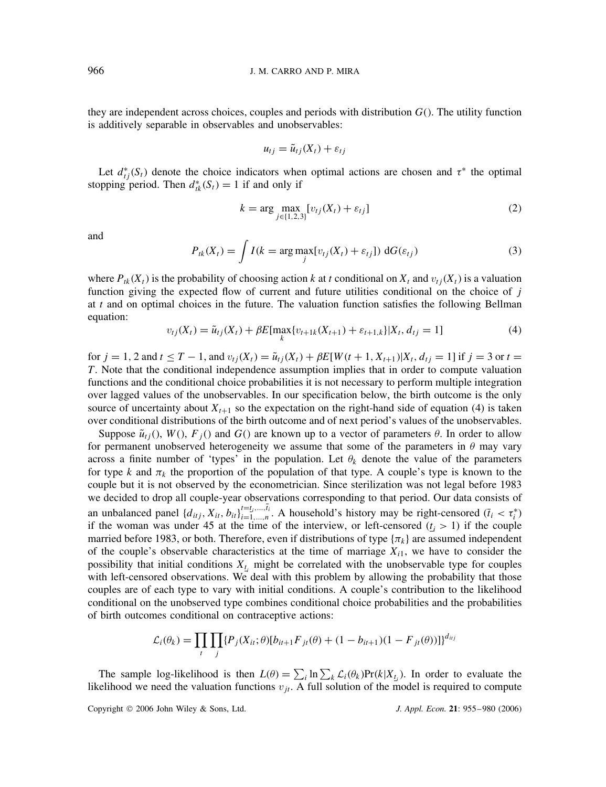they are independent across choices, couples and periods with distribution  $G(.)$ . The utility function is additively separable in observables and unobservables:

$$
u_{tj} = \tilde{u}_{tj}(X_t) + \varepsilon_{tj}
$$

Let  $d_{tj}^*(S_t)$  denote the choice indicators when optimal actions are chosen and  $\tau^*$  the optimal stopping period. Then  $d_{tk}^*(S_t) = 1$  if and only if

$$
k = \arg \max_{j \in \{1,2,3\}} [v_{tj}(X_t) + \varepsilon_{tj}]
$$
 (2)

and

$$
P_{tk}(X_t) = \int I(k = \arg \max_j \{v_{tj}(X_t) + \varepsilon_{tj}\}) \, dG(\varepsilon_{tj}) \tag{3}
$$

where  $P_{tk}(X_t)$  is the probability of choosing action k at t conditional on  $X_t$  and  $v_{tj}(X_t)$  is a valuation function giving the expected flow of current and future utilities conditional on the choice of j at t and on optimal choices in the future. The valuation function satisfies the following Bellman equation:

$$
v_{tj}(X_t) = \tilde{u}_{tj}(X_t) + \beta E[\max_k \{v_{t+1k}(X_{t+1}) + \varepsilon_{t+1,k}\}|X_t, d_{tj} = 1]
$$
\n(4)

for  $j = 1, 2$  and  $t \leq T - 1$ , and  $v_{tj}(X_t) = \tilde{u}_{tj}(X_t) + \beta E[W(t+1, X_{t+1})|X_t, d_{tj} = 1]$  if  $j = 3$  or  $t =$ T. Note that the conditional independence assumption implies that in order to compute valuation functions and the conditional choice probabilities it is not necessary to perform multiple integration over lagged values of the unobservables. In our specification below, the birth outcome is the only source of uncertainty about  $X_{t+1}$  so the expectation on the right-hand side of equation (4) is taken over conditional distributions of the birth outcome and of next period's values of the unobservables.

Suppose  $\tilde{u}_{tj}$ (),  $W$ (),  $F_j$ () and  $G$ () are known up to a vector of parameters  $\theta$ . In order to allow for permanent unobserved heterogeneity we assume that some of the parameters in  $\theta$  may vary across a finite number of 'types' in the population. Let  $\theta_k$  denote the value of the parameters for type k and  $\pi_k$  the proportion of the population of that type. A couple's type is known to the couple but it is not observed by the econometrician. Since sterilization was not legal before 1983 we decided to drop all couple-year observations corresponding to that period. Our data consists of an unbalanced panel  $\{d_{itj}, X_{it}, b_{it}\}_{i=1,\dots,n}^{t=t_i,\dots,\bar{t}_i}$ . A household's history may be right-censored  $(\bar{t}_i < \tau_i^*)$ if the woman was under 45 at the time of the interview, or left-censored  $(t_i > 1)$  if the couple married before 1983, or both. Therefore, even if distributions of type  $\{\pi_k\}$  are assumed independent of the couple's observable characteristics at the time of marriage  $X_{i1}$ , we have to consider the possibility that initial conditions  $X_t$ , might be correlated with the unobservable type for couples with left-censored observations. We deal with this problem by allowing the probability that those couples are of each type to vary with initial conditions. A couple's contribution to the likelihood conditional on the unobserved type combines conditional choice probabilities and the probabilities of birth outcomes conditional on contraceptive actions:

$$
\mathcal{L}_i(\theta_k) = \prod_t \prod_j \{ P_j(X_{it}; \theta) [b_{it+1} F_{jt}(\theta) + (1 - b_{it+1})(1 - F_{jt}(\theta))] \}^{d_{itj}}
$$

The sample log-likelihood is then  $L(\theta) = \sum_i \ln \sum_k \mathcal{L}_i(\theta_k) \Pr(k|X_{t_i})$ . In order to evaluate the likelihood we need the valuation functions  $v_{it}$ . A full solution of the model is required to compute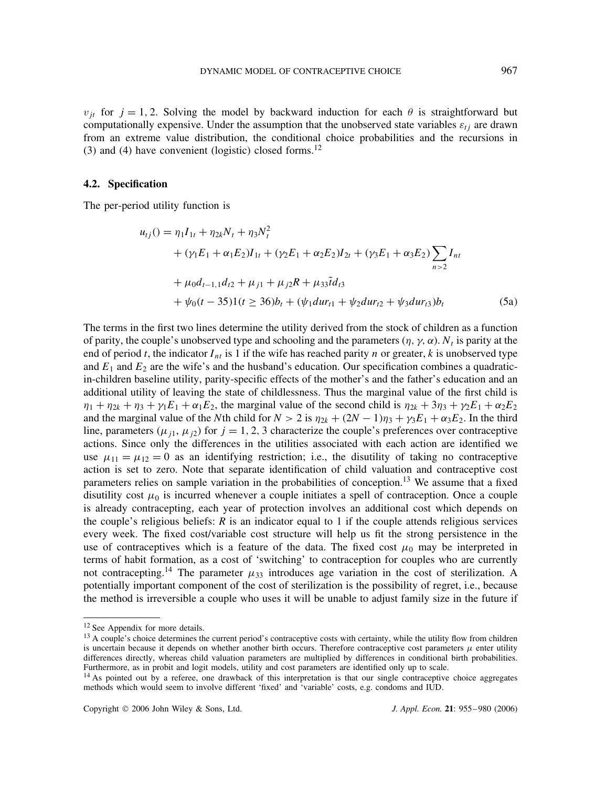$v_{it}$  for  $j = 1, 2$ . Solving the model by backward induction for each  $\theta$  is straightforward but computationally expensive. Under the assumption that the unobserved state variables  $\varepsilon_{t}$  are drawn from an extreme value distribution, the conditional choice probabilities and the recursions in (3) and (4) have convenient (logistic) closed forms.<sup>12</sup>

#### **4.2. Specification**

The per-period utility function is

$$
u_{tj}( ) = \eta_1 I_{1t} + \eta_{2k} N_t + \eta_3 N_t^2
$$
  
+ (\gamma\_1 E\_1 + \alpha\_1 E\_2) I\_{1t} + (\gamma\_2 E\_1 + \alpha\_2 E\_2) I\_{2t} + (\gamma\_3 E\_1 + \alpha\_3 E\_2) \sum\_{n > 2} I\_{nt}   
+ \mu\_0 d\_{t-1,1} d\_{t2} + \mu\_{j1} + \mu\_{j2} R + \mu\_{33} \tilde{t} d\_{t3}  
+ \psi\_0 (t - 35) I(t \ge 36) b\_t + (\psi\_1 du r\_{t1} + \psi\_2 du r\_{t2} + \psi\_3 du r\_{t3}) b\_t (5a)

The terms in the first two lines determine the utility derived from the stock of children as a function of parity, the couple's unobserved type and schooling and the parameters  $(\eta, \gamma, \alpha)$ . N<sub>t</sub> is parity at the end of period t, the indicator  $I_{nt}$  is 1 if the wife has reached parity n or greater, k is unobserved type and  $E_1$  and  $E_2$  are the wife's and the husband's education. Our specification combines a quadraticin-children baseline utility, parity-specific effects of the mother's and the father's education and an additional utility of leaving the state of childlessness. Thus the marginal value of the first child is  $\eta_1 + \eta_2 k + \eta_3 + \gamma_1 E_1 + \alpha_1 E_2$ , the marginal value of the second child is  $\eta_{2k} + 3\eta_3 + \gamma_2 E_1 + \alpha_2 E_2$ and the marginal value of the Nth child for  $N > 2$  is  $\eta_{2k} + (2N - 1)\eta_3 + \gamma_3 E_1 + \alpha_3 E_2$ . In the third line, parameters ( $\mu_{j1}, \mu_{j2}$ ) for  $j = 1, 2, 3$  characterize the couple's preferences over contraceptive actions. Since only the differences in the utilities associated with each action are identified we use  $\mu_{11} = \mu_{12} = 0$  as an identifying restriction; i.e., the disutility of taking no contraceptive action is set to zero. Note that separate identification of child valuation and contraceptive cost parameters relies on sample variation in the probabilities of conception.<sup>13</sup> We assume that a fixed disutility cost  $\mu_0$  is incurred whenever a couple initiates a spell of contraception. Once a couple is already contracepting, each year of protection involves an additional cost which depends on the couple's religious beliefs:  $R$  is an indicator equal to 1 if the couple attends religious services every week. The fixed cost/variable cost structure will help us fit the strong persistence in the use of contraceptives which is a feature of the data. The fixed cost  $\mu_0$  may be interpreted in terms of habit formation, as a cost of 'switching' to contraception for couples who are currently not contracepting.<sup>14</sup> The parameter  $\mu_{33}$  introduces age variation in the cost of sterilization. A potentially important component of the cost of sterilization is the possibility of regret, i.e., because the method is irreversible a couple who uses it will be unable to adjust family size in the future if

<sup>&</sup>lt;sup>12</sup> See Appendix for more details.

<sup>&</sup>lt;sup>13</sup> A couple's choice determines the current period's contraceptive costs with certainty, while the utility flow from children is uncertain because it depends on whether another birth occurs. Therefore contraceptive cost parameters  $\mu$  enter utility differences directly, whereas child valuation parameters are multiplied by differences in conditional birth probabilities. Furthermore, as in probit and logit models, utility and cost parameters are identified only up to scale.

<sup>&</sup>lt;sup>14</sup> As pointed out by a referee, one drawback of this interpretation is that our single contraceptive choice aggregates methods which would seem to involve different 'fixed' and 'variable' costs, e.g. condoms and IUD.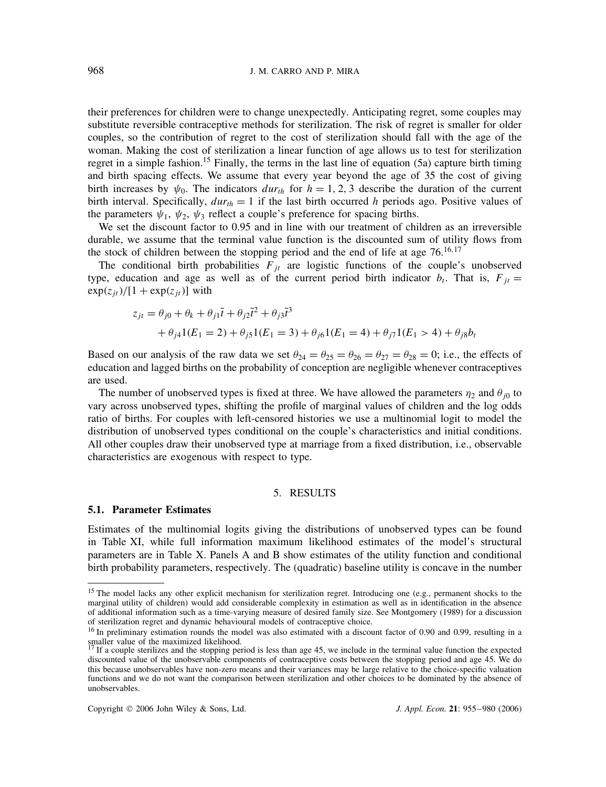their preferences for children were to change unexpectedly. Anticipating regret, some couples may substitute reversible contraceptive methods for sterilization. The risk of regret is smaller for older couples, so the contribution of regret to the cost of sterilization should fall with the age of the woman. Making the cost of sterilization a linear function of age allows us to test for sterilization regret in a simple fashion.<sup>15</sup> Finally, the terms in the last line of equation (5a) capture birth timing and birth spacing effects. We assume that every year beyond the age of 35 the cost of giving birth increases by  $\psi_0$ . The indicators  $dur_{th}$  for  $h = 1, 2, 3$  describe the duration of the current birth interval. Specifically,  $dur_{th} = 1$  if the last birth occurred h periods ago. Positive values of the parameters  $\psi_1$ ,  $\psi_2$ ,  $\psi_3$  reflect a couple's preference for spacing births.

We set the discount factor to 0.95 and in line with our treatment of children as an irreversible durable, we assume that the terminal value function is the discounted sum of utility flows from the stock of children between the stopping period and the end of life at age 76.<sup>16,17</sup>

The conditional birth probabilities  $F_{jt}$  are logistic functions of the couple's unobserved type, education and age as well as of the current period birth indicator  $b_t$ . That is,  $F_{it}$  =  $\exp(z_{jt})/[1 + \exp(z_{jt})]$  with

$$
z_{jt} = \theta_{j0} + \theta_k + \theta_{j1}\tilde{t} + \theta_{j2}\tilde{t}^2 + \theta_{j3}\tilde{t}^3
$$
  
+  $\theta_{j4}1(E_1 = 2) + \theta_{j5}1(E_1 = 3) + \theta_{j6}1(E_1 = 4) + \theta_{j7}1(E_1 > 4) + \theta_{j8}b_t$ 

Based on our analysis of the raw data we set  $\theta_{24} = \theta_{25} = \theta_{26} = \theta_{27} = \theta_{28} = 0$ ; i.e., the effects of education and lagged births on the probability of conception are negligible whenever contraceptives are used.

The number of unobserved types is fixed at three. We have allowed the parameters  $\eta_2$  and  $\theta_{i0}$  to vary across unobserved types, shifting the profile of marginal values of children and the log odds ratio of births. For couples with left-censored histories we use a multinomial logit to model the distribution of unobserved types conditional on the couple's characteristics and initial conditions. All other couples draw their unobserved type at marriage from a fixed distribution, i.e., observable characteristics are exogenous with respect to type.

## 5. RESULTS

#### **5.1. Parameter Estimates**

Estimates of the multinomial logits giving the distributions of unobserved types can be found in Table XI, while full information maximum likelihood estimates of the model's structural parameters are in Table X. Panels A and B show estimates of the utility function and conditional birth probability parameters, respectively. The (quadratic) baseline utility is concave in the number

<sup>&</sup>lt;sup>15</sup> The model lacks any other explicit mechanism for sterilization regret. Introducing one (e.g., permanent shocks to the marginal utility of children) would add considerable complexity in estimation as well as in identification in the absence of additional information such as a time-varying measure of desired family size. See Montgomery (1989) for a discussion of sterilization regret and dynamic behavioural models of contraceptive choice.

<sup>&</sup>lt;sup>16</sup> In preliminary estimation rounds the model was also estimated with a discount factor of 0.90 and 0.99, resulting in a smaller value of the maximized likelihood.<br><sup>17</sup> If a couple sterilizes and the stopping period is less than age 45, we include in the terminal value function the expected

discounted value of the unobservable components of contraceptive costs between the stopping period and age 45. We do this because unobservables have non-zero means and their variances may be large relative to the choice-specific valuation functions and we do not want the comparison between sterilization and other choices to be dominated by the absence of unobservables.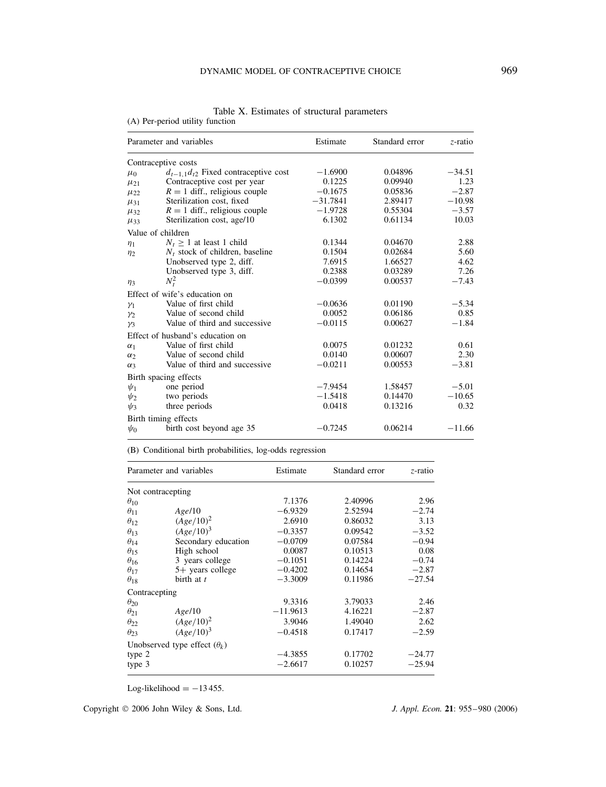| Parameter and variables |                                               | Estimate   | Standard error | z-ratio  |
|-------------------------|-----------------------------------------------|------------|----------------|----------|
|                         | Contraceptive costs                           |            |                |          |
| $\mu_0$                 | $d_{t-1}$ $_1d_{t2}$ Fixed contraceptive cost | $-1.6900$  | 0.04896        | $-34.51$ |
| $\mu_{21}$              | Contraceptive cost per year                   | 0.1225     | 0.09940        | 1.23     |
| $\mu_{22}$              | $R = 1$ diff., religious couple               | $-0.1675$  | 0.05836        | $-2.87$  |
| $\mu_{31}$              | Sterilization cost, fixed                     | $-31.7841$ | 2.89417        | $-10.98$ |
| $\mu_{32}$              | $R = 1$ diff., religious couple               | $-1.9728$  | 0.55304        | $-3.57$  |
| $\mu_{33}$              | Sterilization cost, age/10                    | 6.1302     | 0.61134        | 10.03    |
|                         | Value of children                             |            |                |          |
| $\eta_1$                | $N_t \geq 1$ at least 1 child                 | 0.1344     | 0.04670        | 2.88     |
| $\eta_2$                | $N_t$ stock of children, baseline             | 0.1504     | 0.02684        | 5.60     |
|                         | Unobserved type 2, diff.                      | 7.6915     | 1.66527        | 4.62     |
|                         | Unobserved type 3, diff.                      | 0.2388     | 0.03289        | 7.26     |
| $\eta_3$                | $N_t^2$                                       | $-0.0399$  | 0.00537        | $-7.43$  |
|                         | Effect of wife's education on                 |            |                |          |
| $\gamma_1$              | Value of first child                          | $-0.0636$  | 0.01190        | $-5.34$  |
| $\mathcal{V}2$          | Value of second child                         | 0.0052     | 0.06186        | 0.85     |
| $\gamma_3$              | Value of third and successive                 | $-0.0115$  | 0.00627        | $-1.84$  |
|                         | Effect of husband's education on              |            |                |          |
| $\alpha_1$              | Value of first child                          | 0.0075     | 0.01232        | 0.61     |
| $\alpha$                | Value of second child                         | 0.0140     | 0.00607        | 2.30     |
| $\alpha_3$              | Value of third and successive                 | $-0.0211$  | 0.00553        | $-3.81$  |
|                         | Birth spacing effects                         |            |                |          |
| $\psi_1$                | one period                                    | $-7.9454$  | 1.58457        | $-5.01$  |
| $\psi_2$                | two periods                                   | $-1.5418$  | 0.14470        | $-10.65$ |
| $\psi_3$                | three periods                                 | 0.0418     | 0.13216        | 0.32     |
|                         | Birth timing effects                          |            |                |          |
| $\psi_0$                | birth cost beyond age 35                      | $-0.7245$  | 0.06214        | $-11.66$ |

Table X. Estimates of structural parameters (A) Per-period utility function

(B) Conditional birth probabilities, log-odds regression

| Parameter and variables              | Estimate   | Standard error | z-ratio  |
|--------------------------------------|------------|----------------|----------|
| Not contracepting                    |            |                |          |
| $\theta_{10}$                        | 7.1376     | 2.40996        | 2.96     |
| Age/10<br>$\theta_{11}$              | $-6.9329$  | 2.52594        | $-2.74$  |
| $(Age/10)^2$<br>$\theta_{12}$        | 2.6910     | 0.86032        | 3.13     |
| $(Age/10)^3$<br>$\theta_{13}$        | $-0.3357$  | 0.09542        | $-3.52$  |
| Secondary education<br>$\theta_{14}$ | $-0.0709$  | 0.07584        | $-0.94$  |
| High school<br>$\theta_{15}$         | 0.0087     | 0.10513        | 0.08     |
| 3 years college<br>$\theta_{16}$     | $-0.1051$  | 0.14224        | $-0.74$  |
| 5+ years college<br>$\theta_{17}$    | $-0.4202$  | 0.14654        | $-2.87$  |
| birth at $t$<br>$\theta_{18}$        | $-3.3009$  | 0.11986        | $-27.54$ |
| Contracepting                        |            |                |          |
| $\theta_{20}$                        | 9.3316     | 3.79033        | 2.46     |
| Age/10<br>$\theta_{21}$              | $-11.9613$ | 4.16221        | $-2.87$  |
| $(Age/10)^2$<br>$\theta_{22}$        | 3.9046     | 1.49040        | 2.62     |
| $(Age/10)^3$<br>$\theta_{23}$        | $-0.4518$  | 0.17417        | $-2.59$  |
| Unobserved type effect $(\theta_k)$  |            |                |          |
| type 2                               | $-4.3855$  | 0.17702        | $-24.77$ |
| type 3                               | $-2.6617$  | 0.10257        | $-25.94$ |

Log-likelihood  $= -13 455$ .

Copyright 2006 John Wiley & Sons, Ltd. *J. Appl. Econ.* **21**: 955–980 (2006)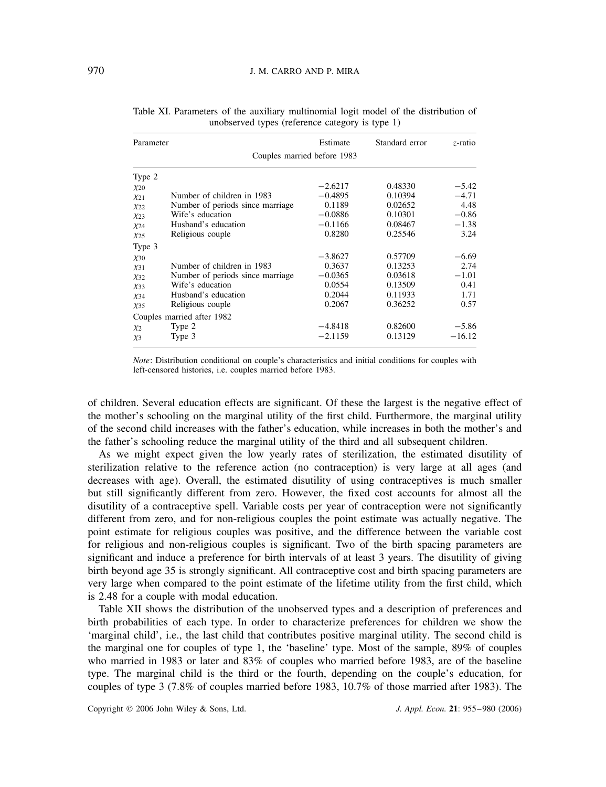| Parameter       |                                   | Estimate  | Standard error | z-ratio  |
|-----------------|-----------------------------------|-----------|----------------|----------|
|                 | Couples married before 1983       |           |                |          |
| Type 2          |                                   |           |                |          |
| $X_{20}$        |                                   | $-2.6217$ | 0.48330        | $-5.42$  |
| $X_{21}$        | Number of children in 1983        | $-0.4895$ | 0.10394        | $-4.71$  |
| $X_{22}$        | Number of periods since marriage. | 0.1189    | 0.02652        | 4.48     |
| X <sub>23</sub> | Wife's education                  | $-0.0886$ | 0.10301        | $-0.86$  |
| X24             | Husband's education               | $-0.1166$ | 0.08467        | $-1.38$  |
| X25             | Religious couple                  | 0.8280    | 0.25546        | 3.24     |
| Type 3          |                                   |           |                |          |
| X30             |                                   | $-3.8627$ | 0.57709        | $-6.69$  |
| $X_31$          | Number of children in 1983        | 0.3637    | 0.13253        | 2.74     |
| $X_{32}$        | Number of periods since marriage. | $-0.0365$ | 0.03618        | $-1.01$  |
| X33             | Wife's education                  | 0.0554    | 0.13509        | 0.41     |
| $X_{34}$        | Husband's education               | 0.2044    | 0.11933        | 1.71     |
| X35             | Religious couple                  | 0.2067    | 0.36252        | 0.57     |
|                 | Couples married after 1982        |           |                |          |
| X <sub>2</sub>  | Type 2                            | $-4.8418$ | 0.82600        | $-5.86$  |
| $X_3$           | Type 3                            | $-2.1159$ | 0.13129        | $-16.12$ |

Table XI. Parameters of the auxiliary multinomial logit model of the distribution of unobserved types (reference category is type 1)

*Note*: Distribution conditional on couple's characteristics and initial conditions for couples with left-censored histories, i.e. couples married before 1983.

of children. Several education effects are significant. Of these the largest is the negative effect of the mother's schooling on the marginal utility of the first child. Furthermore, the marginal utility of the second child increases with the father's education, while increases in both the mother's and the father's schooling reduce the marginal utility of the third and all subsequent children.

As we might expect given the low yearly rates of sterilization, the estimated disutility of sterilization relative to the reference action (no contraception) is very large at all ages (and decreases with age). Overall, the estimated disutility of using contraceptives is much smaller but still significantly different from zero. However, the fixed cost accounts for almost all the disutility of a contraceptive spell. Variable costs per year of contraception were not significantly different from zero, and for non-religious couples the point estimate was actually negative. The point estimate for religious couples was positive, and the difference between the variable cost for religious and non-religious couples is significant. Two of the birth spacing parameters are significant and induce a preference for birth intervals of at least 3 years. The disutility of giving birth beyond age 35 is strongly significant. All contraceptive cost and birth spacing parameters are very large when compared to the point estimate of the lifetime utility from the first child, which is 2.48 for a couple with modal education.

Table XII shows the distribution of the unobserved types and a description of preferences and birth probabilities of each type. In order to characterize preferences for children we show the 'marginal child', i.e., the last child that contributes positive marginal utility. The second child is the marginal one for couples of type 1, the 'baseline' type. Most of the sample, 89% of couples who married in 1983 or later and 83% of couples who married before 1983, are of the baseline type. The marginal child is the third or the fourth, depending on the couple's education, for couples of type 3 (7.8% of couples married before 1983, 10.7% of those married after 1983). The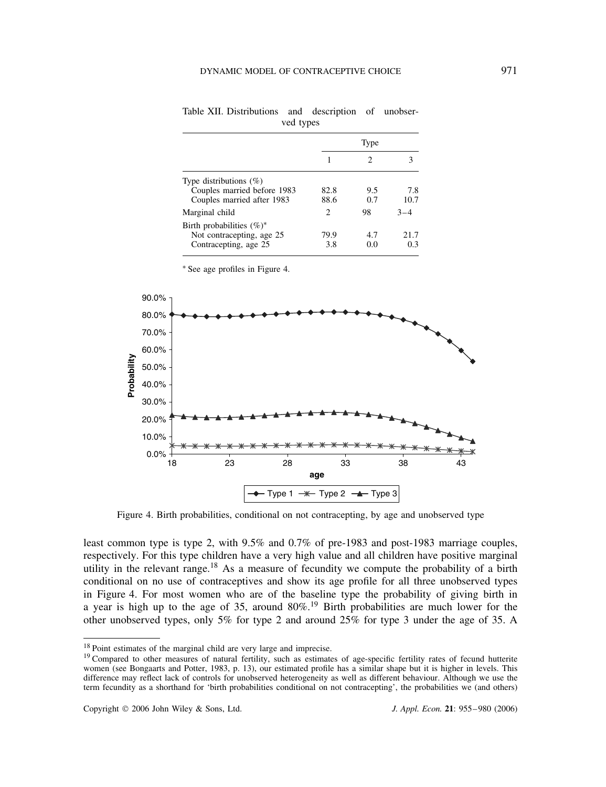|  | Table XII. Distributions and description of unobser- |           |  |  |
|--|------------------------------------------------------|-----------|--|--|
|  |                                                      | ved types |  |  |

|                              | Type                        |       |         |
|------------------------------|-----------------------------|-------|---------|
|                              |                             |       |         |
| Type distributions $(\%)$    |                             |       |         |
| Couples married before 1983  | 82.8                        | 9.5   | 7.8     |
| Couples married after 1983   | 88.6                        | 0.7   | 10.7    |
| Marginal child               | $\mathcal{D}_{\mathcal{L}}$ | 98    | $3 - 4$ |
| Birth probabilities $(\%)^*$ |                             |       |         |
| Not contracepting, age 25    | 79.9                        | 4.7   | 21.7    |
| Contracepting, age 25        | 3.8                         | (0.0) | 0.3     |

\* See age profiles in Figure 4.



Figure 4. Birth probabilities, conditional on not contracepting, by age and unobserved type

least common type is type 2, with 9.5% and 0.7% of pre-1983 and post-1983 marriage couples, respectively. For this type children have a very high value and all children have positive marginal utility in the relevant range.<sup>18</sup> As a measure of fecundity we compute the probability of a birth conditional on no use of contraceptives and show its age profile for all three unobserved types in Figure 4. For most women who are of the baseline type the probability of giving birth in a year is high up to the age of 35, around  $80\%$ .<sup>19</sup> Birth probabilities are much lower for the other unobserved types, only 5% for type 2 and around 25% for type 3 under the age of 35. A

<sup>18</sup> Point estimates of the marginal child are very large and imprecise.

<sup>&</sup>lt;sup>19</sup> Compared to other measures of natural fertility, such as estimates of age-specific fertility rates of fecund hutterite women (see Bongaarts and Potter, 1983, p. 13), our estimated profile has a similar shape but it is higher in levels. This difference may reflect lack of controls for unobserved heterogeneity as well as different behaviour. Although we use the term fecundity as a shorthand for 'birth probabilities conditional on not contracepting', the probabilities we (and others)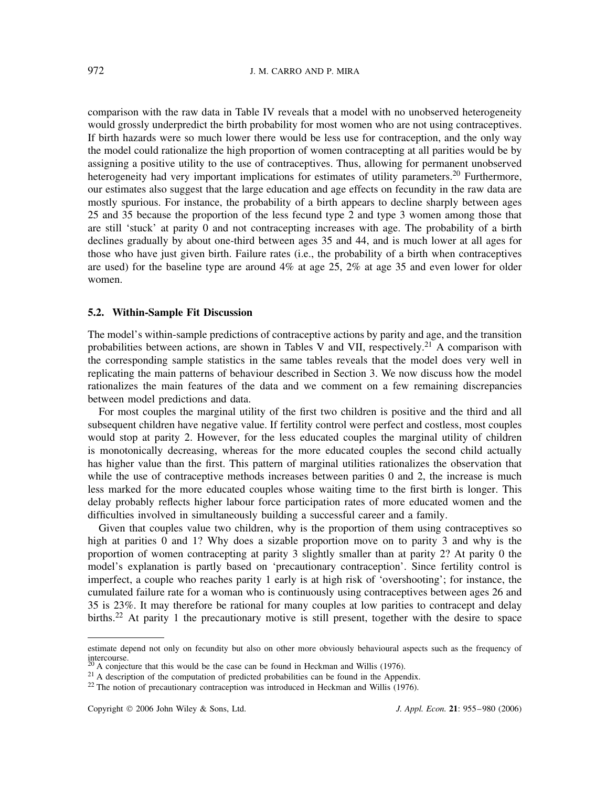comparison with the raw data in Table IV reveals that a model with no unobserved heterogeneity would grossly underpredict the birth probability for most women who are not using contraceptives. If birth hazards were so much lower there would be less use for contraception, and the only way the model could rationalize the high proportion of women contracepting at all parities would be by assigning a positive utility to the use of contraceptives. Thus, allowing for permanent unobserved heterogeneity had very important implications for estimates of utility parameters.<sup>20</sup> Furthermore, our estimates also suggest that the large education and age effects on fecundity in the raw data are mostly spurious. For instance, the probability of a birth appears to decline sharply between ages 25 and 35 because the proportion of the less fecund type 2 and type 3 women among those that are still 'stuck' at parity 0 and not contracepting increases with age. The probability of a birth declines gradually by about one-third between ages 35 and 44, and is much lower at all ages for those who have just given birth. Failure rates (i.e., the probability of a birth when contraceptives are used) for the baseline type are around 4% at age 25, 2% at age 35 and even lower for older women.

## **5.2. Within-Sample Fit Discussion**

The model's within-sample predictions of contraceptive actions by parity and age, and the transition probabilities between actions, are shown in Tables V and VII, respectively.<sup>21</sup> A comparison with the corresponding sample statistics in the same tables reveals that the model does very well in replicating the main patterns of behaviour described in Section 3. We now discuss how the model rationalizes the main features of the data and we comment on a few remaining discrepancies between model predictions and data.

For most couples the marginal utility of the first two children is positive and the third and all subsequent children have negative value. If fertility control were perfect and costless, most couples would stop at parity 2. However, for the less educated couples the marginal utility of children is monotonically decreasing, whereas for the more educated couples the second child actually has higher value than the first. This pattern of marginal utilities rationalizes the observation that while the use of contraceptive methods increases between parities 0 and 2, the increase is much less marked for the more educated couples whose waiting time to the first birth is longer. This delay probably reflects higher labour force participation rates of more educated women and the difficulties involved in simultaneously building a successful career and a family.

Given that couples value two children, why is the proportion of them using contraceptives so high at parities 0 and 1? Why does a sizable proportion move on to parity 3 and why is the proportion of women contracepting at parity 3 slightly smaller than at parity 2? At parity 0 the model's explanation is partly based on 'precautionary contraception'. Since fertility control is imperfect, a couple who reaches parity 1 early is at high risk of 'overshooting'; for instance, the cumulated failure rate for a woman who is continuously using contraceptives between ages 26 and 35 is 23%. It may therefore be rational for many couples at low parities to contracept and delay births.<sup>22</sup> At parity 1 the precautionary motive is still present, together with the desire to space

estimate depend not only on fecundity but also on other more obviously behavioural aspects such as the frequency of intercourse. <sup>20</sup> A conjecture that this would be the case can be found in Heckman and Willis (1976).

<sup>&</sup>lt;sup>21</sup> A description of the computation of predicted probabilities can be found in the Appendix.

 $22$  The notion of precautionary contraception was introduced in Heckman and Willis (1976).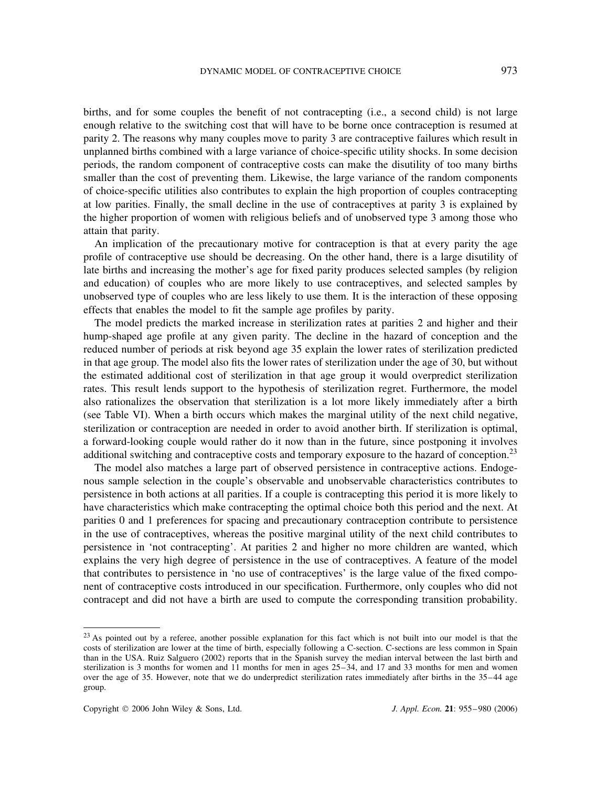births, and for some couples the benefit of not contracepting (i.e., a second child) is not large enough relative to the switching cost that will have to be borne once contraception is resumed at parity 2. The reasons why many couples move to parity 3 are contraceptive failures which result in unplanned births combined with a large variance of choice-specific utility shocks. In some decision periods, the random component of contraceptive costs can make the disutility of too many births smaller than the cost of preventing them. Likewise, the large variance of the random components of choice-specific utilities also contributes to explain the high proportion of couples contracepting at low parities. Finally, the small decline in the use of contraceptives at parity 3 is explained by the higher proportion of women with religious beliefs and of unobserved type 3 among those who attain that parity.

An implication of the precautionary motive for contraception is that at every parity the age profile of contraceptive use should be decreasing. On the other hand, there is a large disutility of late births and increasing the mother's age for fixed parity produces selected samples (by religion and education) of couples who are more likely to use contraceptives, and selected samples by unobserved type of couples who are less likely to use them. It is the interaction of these opposing effects that enables the model to fit the sample age profiles by parity.

The model predicts the marked increase in sterilization rates at parities 2 and higher and their hump-shaped age profile at any given parity. The decline in the hazard of conception and the reduced number of periods at risk beyond age 35 explain the lower rates of sterilization predicted in that age group. The model also fits the lower rates of sterilization under the age of 30, but without the estimated additional cost of sterilization in that age group it would overpredict sterilization rates. This result lends support to the hypothesis of sterilization regret. Furthermore, the model also rationalizes the observation that sterilization is a lot more likely immediately after a birth (see Table VI). When a birth occurs which makes the marginal utility of the next child negative, sterilization or contraception are needed in order to avoid another birth. If sterilization is optimal, a forward-looking couple would rather do it now than in the future, since postponing it involves additional switching and contraceptive costs and temporary exposure to the hazard of conception.<sup>23</sup>

The model also matches a large part of observed persistence in contraceptive actions. Endogenous sample selection in the couple's observable and unobservable characteristics contributes to persistence in both actions at all parities. If a couple is contracepting this period it is more likely to have characteristics which make contracepting the optimal choice both this period and the next. At parities 0 and 1 preferences for spacing and precautionary contraception contribute to persistence in the use of contraceptives, whereas the positive marginal utility of the next child contributes to persistence in 'not contracepting'. At parities 2 and higher no more children are wanted, which explains the very high degree of persistence in the use of contraceptives. A feature of the model that contributes to persistence in 'no use of contraceptives' is the large value of the fixed component of contraceptive costs introduced in our specification. Furthermore, only couples who did not contracept and did not have a birth are used to compute the corresponding transition probability.

<sup>&</sup>lt;sup>23</sup> As pointed out by a referee, another possible explanation for this fact which is not built into our model is that the costs of sterilization are lower at the time of birth, especially following a C-section. C-sections are less common in Spain than in the USA. Ruiz Salguero (2002) reports that in the Spanish survey the median interval between the last birth and sterilization is 3 months for women and 11 months for men in ages 25–34, and 17 and 33 months for men and women over the age of 35. However, note that we do underpredict sterilization rates immediately after births in the 35–44 age group.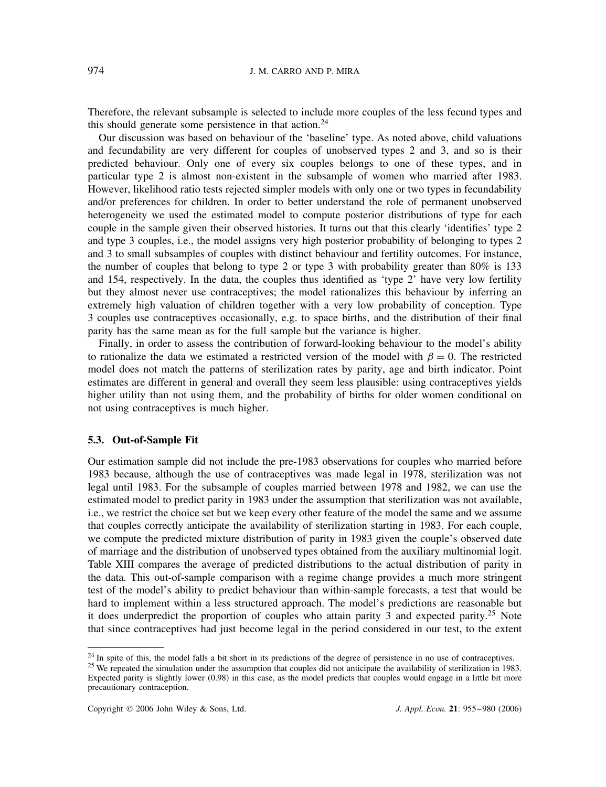Therefore, the relevant subsample is selected to include more couples of the less fecund types and this should generate some persistence in that action.<sup>24</sup>

Our discussion was based on behaviour of the 'baseline' type. As noted above, child valuations and fecundability are very different for couples of unobserved types 2 and 3, and so is their predicted behaviour. Only one of every six couples belongs to one of these types, and in particular type 2 is almost non-existent in the subsample of women who married after 1983. However, likelihood ratio tests rejected simpler models with only one or two types in fecundability and/or preferences for children. In order to better understand the role of permanent unobserved heterogeneity we used the estimated model to compute posterior distributions of type for each couple in the sample given their observed histories. It turns out that this clearly 'identifies' type 2 and type 3 couples, i.e., the model assigns very high posterior probability of belonging to types 2 and 3 to small subsamples of couples with distinct behaviour and fertility outcomes. For instance, the number of couples that belong to type 2 or type 3 with probability greater than 80% is 133 and 154, respectively. In the data, the couples thus identified as 'type 2' have very low fertility but they almost never use contraceptives; the model rationalizes this behaviour by inferring an extremely high valuation of children together with a very low probability of conception. Type 3 couples use contraceptives occasionally, e.g. to space births, and the distribution of their final parity has the same mean as for the full sample but the variance is higher.

Finally, in order to assess the contribution of forward-looking behaviour to the model's ability to rationalize the data we estimated a restricted version of the model with  $\beta = 0$ . The restricted model does not match the patterns of sterilization rates by parity, age and birth indicator. Point estimates are different in general and overall they seem less plausible: using contraceptives yields higher utility than not using them, and the probability of births for older women conditional on not using contraceptives is much higher.

# **5.3. Out-of-Sample Fit**

Our estimation sample did not include the pre-1983 observations for couples who married before 1983 because, although the use of contraceptives was made legal in 1978, sterilization was not legal until 1983. For the subsample of couples married between 1978 and 1982, we can use the estimated model to predict parity in 1983 under the assumption that sterilization was not available, i.e., we restrict the choice set but we keep every other feature of the model the same and we assume that couples correctly anticipate the availability of sterilization starting in 1983. For each couple, we compute the predicted mixture distribution of parity in 1983 given the couple's observed date of marriage and the distribution of unobserved types obtained from the auxiliary multinomial logit. Table XIII compares the average of predicted distributions to the actual distribution of parity in the data. This out-of-sample comparison with a regime change provides a much more stringent test of the model's ability to predict behaviour than within-sample forecasts, a test that would be hard to implement within a less structured approach. The model's predictions are reasonable but it does underpredict the proportion of couples who attain parity 3 and expected parity.<sup>25</sup> Note that since contraceptives had just become legal in the period considered in our test, to the extent

<sup>&</sup>lt;sup>24</sup> In spite of this, the model falls a bit short in its predictions of the degree of persistence in no use of contraceptives.

<sup>&</sup>lt;sup>25</sup> We repeated the simulation under the assumption that couples did not anticipate the availability of sterilization in 1983. Expected parity is slightly lower (0.98) in this case, as the model predicts that couples would engage in a little bit more precautionary contraception.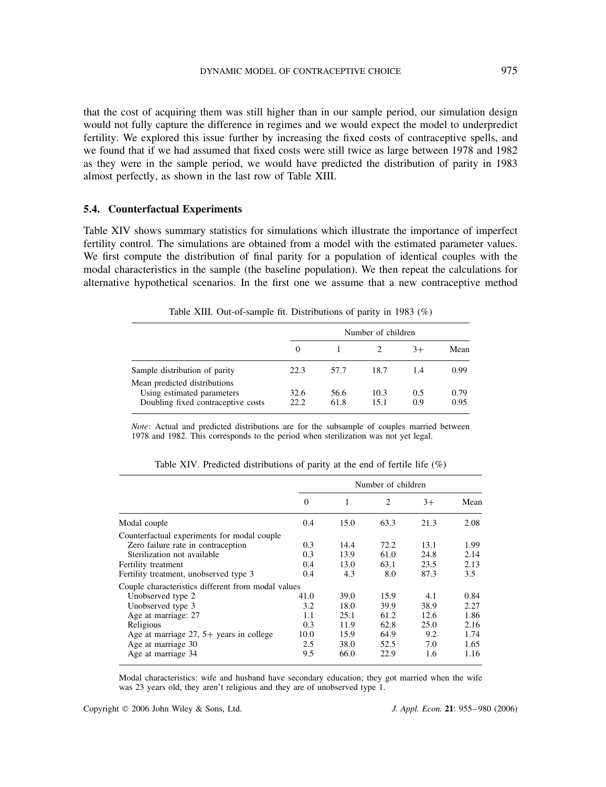that the cost of acquiring them was still higher than in our sample period, our simulation design would not fully capture the difference in regimes and we would expect the model to underpredict fertility. We explored this issue further by increasing the fixed costs of contraceptive spells, and we found that if we had assumed that fixed costs were still twice as large between 1978 and 1982 as they were in the sample period, we would have predicted the distribution of parity in 1983 almost perfectly, as shown in the last row of Table XIII.

### **5.4. Counterfactual Experiments**

Table XIV shows summary statistics for simulations which illustrate the importance of imperfect fertility control. The simulations are obtained from a model with the estimated parameter values. We first compute the distribution of final parity for a population of identical couples with the modal characteristics in the sample (the baseline population). We then repeat the calculations for alternative hypothetical scenarios. In the first one we assume that a new contraceptive method

|                                                                                                  | Number of children |              |              |            |              |
|--------------------------------------------------------------------------------------------------|--------------------|--------------|--------------|------------|--------------|
|                                                                                                  | $\theta$           |              |              | 3+         | Mean         |
| Sample distribution of parity                                                                    | 22.3               | 57.7         | 18.7         | 1.4        | 0.99         |
| Mean predicted distributions<br>Using estimated parameters<br>Doubling fixed contraceptive costs | 32.6<br>22.2.      | 56.6<br>61.8 | 10.3<br>15.1 | 0.5<br>0.9 | 0.79<br>0.95 |

Table XIII. Out-of-sample fit. Distributions of parity in 1983 (%)

*Note*: Actual and predicted distributions are for the subsample of couples married between 1978 and 1982. This corresponds to the period when sterilization was not yet legal.

|                                                    | Number of children |      |                |      |      |
|----------------------------------------------------|--------------------|------|----------------|------|------|
|                                                    | $\Omega$           | 1    | $\overline{2}$ | $3+$ | Mean |
| Modal couple                                       | 0.4                | 15.0 | 63.3           | 21.3 | 2.08 |
| Counterfactual experiments for modal couple        |                    |      |                |      |      |
| Zero failure rate in contraception                 | 0.3                | 14.4 | 72.2           | 13.1 | 1.99 |
| Sterilization not available                        | 0.3                | 13.9 | 61.0           | 24.8 | 2.14 |
| Fertility treatment                                | 0.4                | 13.0 | 63.1           | 23.5 | 2.13 |
| Fertility treatment, unobserved type 3             | 0.4                | 4.3  | 8.0            | 87.3 | 3.5  |
| Couple characteristics different from modal values |                    |      |                |      |      |
| Unobserved type 2                                  | 41.0               | 39.0 | 15.9           | 4.1  | 0.84 |
| Unobserved type 3                                  | 3.2                | 18.0 | 39.9           | 38.9 | 2.27 |
| Age at marriage: 27                                | 1.1                | 25.1 | 61.2           | 12.6 | 1.86 |
| Religious                                          | 0.3                | 11.9 | 62.8           | 25.0 | 2.16 |
| Age at marriage $27, 5+$ years in college          | 10.0               | 15.9 | 64.9           | 9.2  | 1.74 |
| Age at marriage 30                                 | 2.5                | 38.0 | 52.5           | 7.0  | 1.65 |
| Age at marriage 34                                 | 9.5                | 66.0 | 22.9           | 1.6  | 1.16 |

Table XIV. Predicted distributions of parity at the end of fertile life (%)

Modal characteristics: wife and husband have secondary education; they got married when the wife was 23 years old, they aren't religious and they are of unobserved type 1.

Copyright 2006 John Wiley & Sons, Ltd. *J. Appl. Econ.* **21**: 955–980 (2006)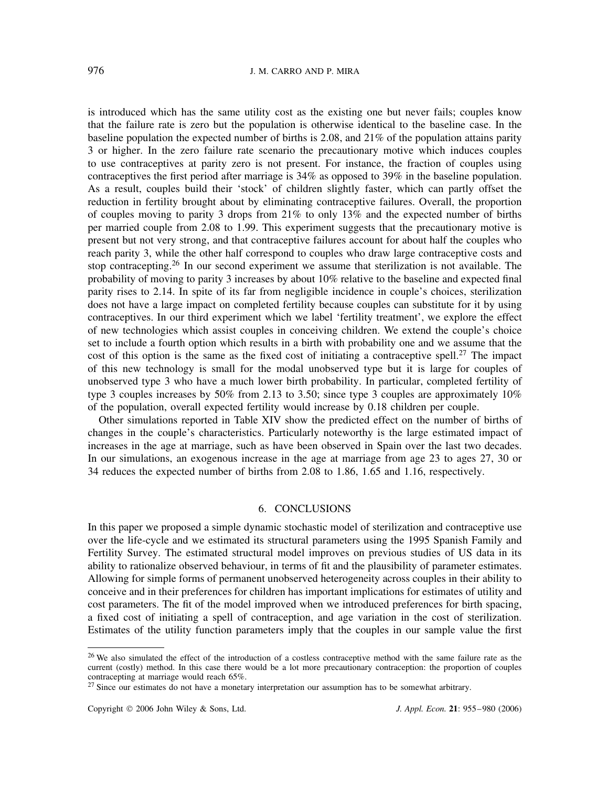is introduced which has the same utility cost as the existing one but never fails; couples know that the failure rate is zero but the population is otherwise identical to the baseline case. In the baseline population the expected number of births is 2.08, and 21% of the population attains parity 3 or higher. In the zero failure rate scenario the precautionary motive which induces couples to use contraceptives at parity zero is not present. For instance, the fraction of couples using contraceptives the first period after marriage is 34% as opposed to 39% in the baseline population. As a result, couples build their 'stock' of children slightly faster, which can partly offset the reduction in fertility brought about by eliminating contraceptive failures. Overall, the proportion of couples moving to parity 3 drops from 21% to only 13% and the expected number of births per married couple from 2.08 to 1.99. This experiment suggests that the precautionary motive is present but not very strong, and that contraceptive failures account for about half the couples who reach parity 3, while the other half correspond to couples who draw large contraceptive costs and stop contracepting.<sup>26</sup> In our second experiment we assume that sterilization is not available. The probability of moving to parity 3 increases by about 10% relative to the baseline and expected final parity rises to 2.14. In spite of its far from negligible incidence in couple's choices, sterilization does not have a large impact on completed fertility because couples can substitute for it by using contraceptives. In our third experiment which we label 'fertility treatment', we explore the effect of new technologies which assist couples in conceiving children. We extend the couple's choice set to include a fourth option which results in a birth with probability one and we assume that the cost of this option is the same as the fixed cost of initiating a contraceptive spell.<sup>27</sup> The impact of this new technology is small for the modal unobserved type but it is large for couples of unobserved type 3 who have a much lower birth probability. In particular, completed fertility of type 3 couples increases by 50% from 2.13 to 3.50; since type 3 couples are approximately 10% of the population, overall expected fertility would increase by 0.18 children per couple.

Other simulations reported in Table XIV show the predicted effect on the number of births of changes in the couple's characteristics. Particularly noteworthy is the large estimated impact of increases in the age at marriage, such as have been observed in Spain over the last two decades. In our simulations, an exogenous increase in the age at marriage from age 23 to ages 27, 30 or 34 reduces the expected number of births from 2.08 to 1.86, 1.65 and 1.16, respectively.

# 6. CONCLUSIONS

In this paper we proposed a simple dynamic stochastic model of sterilization and contraceptive use over the life-cycle and we estimated its structural parameters using the 1995 Spanish Family and Fertility Survey. The estimated structural model improves on previous studies of US data in its ability to rationalize observed behaviour, in terms of fit and the plausibility of parameter estimates. Allowing for simple forms of permanent unobserved heterogeneity across couples in their ability to conceive and in their preferences for children has important implications for estimates of utility and cost parameters. The fit of the model improved when we introduced preferences for birth spacing, a fixed cost of initiating a spell of contraception, and age variation in the cost of sterilization. Estimates of the utility function parameters imply that the couples in our sample value the first

<sup>&</sup>lt;sup>26</sup> We also simulated the effect of the introduction of a costless contraceptive method with the same failure rate as the current (costly) method. In this case there would be a lot more precautionary contraception: the proportion of couples contracepting at marriage would reach 65%.

 $^{27}$  Since our estimates do not have a monetary interpretation our assumption has to be somewhat arbitrary.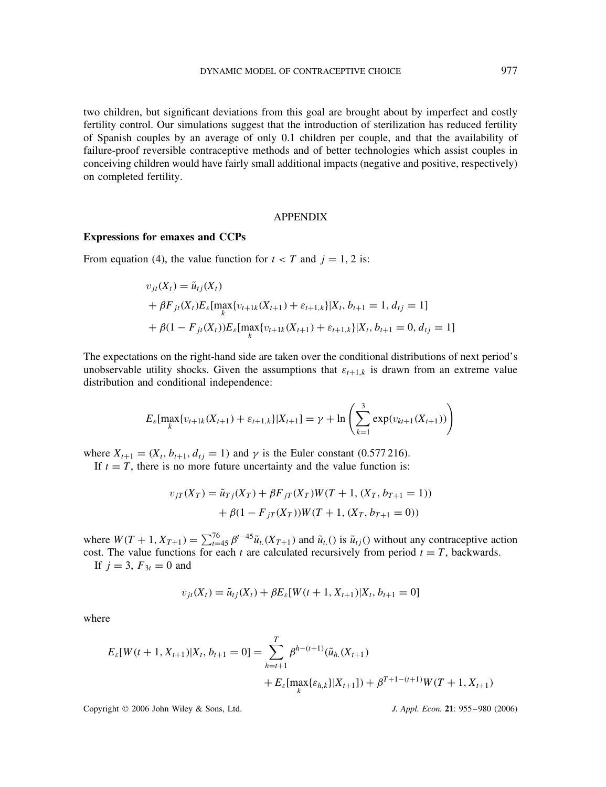two children, but significant deviations from this goal are brought about by imperfect and costly fertility control. Our simulations suggest that the introduction of sterilization has reduced fertility of Spanish couples by an average of only 0.1 children per couple, and that the availability of failure-proof reversible contraceptive methods and of better technologies which assist couples in conceiving children would have fairly small additional impacts (negative and positive, respectively) on completed fertility.

# APPENDIX

# **Expressions for emaxes and CCPs**

From equation (4), the value function for  $t < T$  and  $j = 1, 2$  is:

$$
v_{jt}(X_t) = \tilde{u}_{tj}(X_t)
$$
  
+  $\beta F_{jt}(X_t)E_{\varepsilon}[\max_k\{v_{t+1k}(X_{t+1}) + \varepsilon_{t+1,k}\}|X_t, b_{t+1} = 1, d_{tj} = 1]$   
+  $\beta(1 - F_{jt}(X_t))E_{\varepsilon}[\max_k\{v_{t+1k}(X_{t+1}) + \varepsilon_{t+1,k}\}|X_t, b_{t+1} = 0, d_{tj} = 1]$ 

The expectations on the right-hand side are taken over the conditional distributions of next period's unobservable utility shocks. Given the assumptions that  $\varepsilon_{t+1,k}$  is drawn from an extreme value distribution and conditional independence:

$$
E_{\varepsilon}[\max_{k} \{v_{t+1,k}(X_{t+1}) + \varepsilon_{t+1,k}\}|X_{t+1}] = \gamma + \ln\left(\sum_{k=1}^{3} \exp(v_{kt+1}(X_{t+1}))\right)
$$

where  $X_{t+1} = (X_t, b_{t+1}, d_{tj} = 1)$  and  $\gamma$  is the Euler constant (0.577 216).

If  $t = T$ , there is no more future uncertainty and the value function is:

$$
v_{jT}(X_T) = \tilde{u}_{Tj}(X_T) + \beta F_{jT}(X_T)W(T+1, (X_T, b_{T+1} = 1))
$$

$$
+ \beta(1 - F_{jT}(X_T))W(T+1, (X_T, b_{T+1} = 0))
$$

where  $W(T+1, X_{T+1}) = \sum_{t=45}^{76} \beta^{t-45} \tilde{u}_{t}(X_{T+1})$  and  $\tilde{u}_{t}(t)$  is  $\tilde{u}_{t}(t)$  without any contraceptive action cost. The value functions for each t are calculated recursively from period  $t = T$ , backwards.

If  $j = 3$ ,  $F_{3t} = 0$  and

$$
v_{jt}(X_t) = \tilde{u}_{tj}(X_t) + \beta E_{\varepsilon}[W(t+1, X_{t+1})|X_t, b_{t+1} = 0]
$$

where

$$
E_{\varepsilon}[W(t+1, X_{t+1})|X_t, b_{t+1} = 0] = \sum_{h=t+1}^{T} \beta^{h-(t+1)}(\tilde{u}_{h.}(X_{t+1}) + E_{\varepsilon}[\max_{k} \{\varepsilon_{h,k}\}|X_{t+1}]) + \beta^{T+1-(t+1)}W(T+1, X_{t+1})
$$

Copyright 2006 John Wiley & Sons, Ltd. *J. Appl. Econ.* **21**: 955–980 (2006)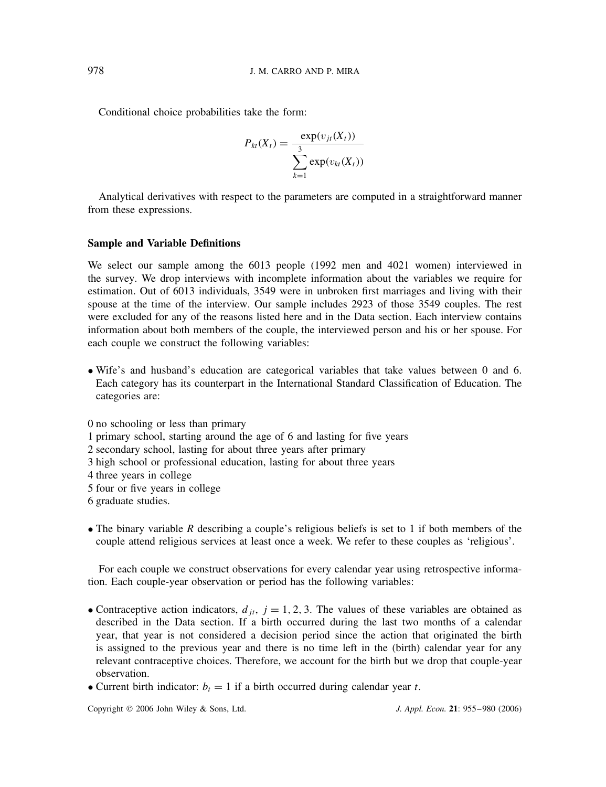Conditional choice probabilities take the form:

$$
P_{kt}(X_t) = \frac{\exp(v_{jt}(X_t))}{\sum_{k=1}^{3} \exp(v_{kt}(X_t))}
$$

Analytical derivatives with respect to the parameters are computed in a straightforward manner from these expressions.

## **Sample and Variable Definitions**

We select our sample among the 6013 people (1992 men and 4021 women) interviewed in the survey. We drop interviews with incomplete information about the variables we require for estimation. Out of 6013 individuals, 3549 were in unbroken first marriages and living with their spouse at the time of the interview. Our sample includes 2923 of those 3549 couples. The rest were excluded for any of the reasons listed here and in the Data section. Each interview contains information about both members of the couple, the interviewed person and his or her spouse. For each couple we construct the following variables:

ž Wife's and husband's education are categorical variables that take values between 0 and 6. Each category has its counterpart in the International Standard Classification of Education. The categories are:

0 no schooling or less than primary

- 1 primary school, starting around the age of 6 and lasting for five years
- 2 secondary school, lasting for about three years after primary
- 3 high school or professional education, lasting for about three years
- 4 three years in college
- 5 four or five years in college
- 6 graduate studies.
- The binary variable R describing a couple's religious beliefs is set to 1 if both members of the couple attend religious services at least once a week. We refer to these couples as 'religious'.

For each couple we construct observations for every calendar year using retrospective information. Each couple-year observation or period has the following variables:

- Contraceptive action indicators,  $d_{it}$ ,  $j = 1, 2, 3$ . The values of these variables are obtained as described in the Data section. If a birth occurred during the last two months of a calendar year, that year is not considered a decision period since the action that originated the birth is assigned to the previous year and there is no time left in the (birth) calendar year for any relevant contraceptive choices. Therefore, we account for the birth but we drop that couple-year observation.
- Current birth indicator:  $b_t = 1$  if a birth occurred during calendar year t.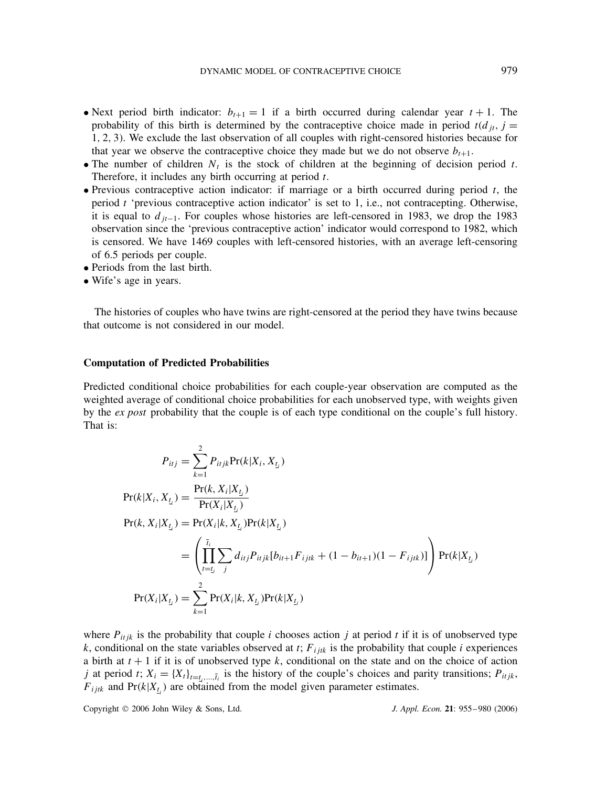- Next period birth indicator:  $b_{t+1} = 1$  if a birth occurred during calendar year  $t + 1$ . The probability of this birth is determined by the contraceptive choice made in period  $t(d_{jt}, j =$ 1, 2, 3. We exclude the last observation of all couples with right-censored histories because for that year we observe the contraceptive choice they made but we do not observe  $b_{t+1}$ .
- The number of children  $N_t$  is the stock of children at the beginning of decision period t. Therefore, it includes any birth occurring at period t.
- Previous contraceptive action indicator: if marriage or a birth occurred during period  $t$ , the period t 'previous contraceptive action indicator' is set to 1, i.e., not contracepting. Otherwise, it is equal to  $d_{it-1}$ . For couples whose histories are left-censored in 1983, we drop the 1983 observation since the 'previous contraceptive action' indicator would correspond to 1982, which is censored. We have 1469 couples with left-censored histories, with an average left-censoring of 6.5 periods per couple.
- Periods from the last birth.
- Wife's age in years.

The histories of couples who have twins are right-censored at the period they have twins because that outcome is not considered in our model.

## **Computation of Predicted Probabilities**

Predicted conditional choice probabilities for each couple-year observation are computed as the weighted average of conditional choice probabilities for each unobserved type, with weights given by the *ex post* probability that the couple is of each type conditional on the couple's full history. That is:

$$
P_{itj} = \sum_{k=1}^{2} P_{itjk} Pr(k|X_i, X_{L_i})
$$
  
\n
$$
Pr(k|X_i, X_{L_i}) = \frac{Pr(k, X_i|X_{L_i})}{Pr(X_i|X_{L_i})}
$$
  
\n
$$
Pr(k, X_i|X_{L_i}) = Pr(X_i|k, X_{L_i}) Pr(k|X_{L_i})
$$
  
\n
$$
= \left(\prod_{t=L_i}^{T_i} \sum_j d_{itj} P_{itjk} [b_{it+1} F_{ijtk} + (1 - b_{it+1})(1 - F_{ijtk})]\right) Pr(k|X_{L_i})
$$
  
\n
$$
Pr(X_i|X_{L_i}) = \sum_{k=1}^{2} Pr(X_i|k, X_{L_i}) Pr(k|X_{L_i})
$$

where  $P_{itik}$  is the probability that couple i chooses action j at period t if it is of unobserved type k, conditional on the state variables observed at t;  $F_{ijtk}$  is the probability that couple i experiences a birth at  $t + 1$  if it is of unobserved type k, conditional on the state and on the choice of action j at period t;  $X_i = \{X_t\}_{t=t_i,\dots,t_i}$  is the history of the couple's choices and parity transitions;  $P_{itjk}$ ,  $F_{ijtk}$  and Pr( $k|X_{t_i}$ ) are obtained from the model given parameter estimates.

Copyright 2006 John Wiley & Sons, Ltd. *J. Appl. Econ.* **21**: 955–980 (2006)